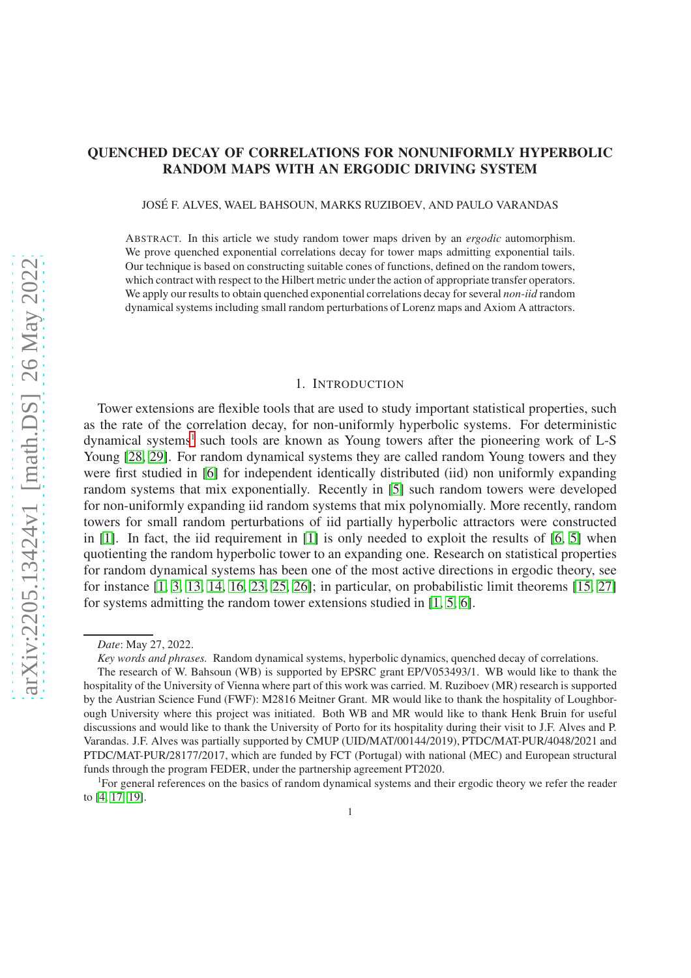# QUENCHED DECAY OF CORRELATIONS FOR NONUNIFORMLY HYPERBOLIC RANDOM MAPS WITH AN ERGODIC DRIVING SYSTEM

JOSE F. ALVES, WAEL BAHSOUN, MARKS RUZIBOEV, AND PAULO VARANDAS ´

ABSTRACT. In this article we study random tower maps driven by an *ergodic* automorphism. We prove quenched exponential correlations decay for tower maps admitting exponential tails. Our technique is based on constructing suitable cones of functions, defined on the random towers, which contract with respect to the Hilbert metric under the action of appropriate transfer operators. We apply our results to obtain quenched exponential correlations decay for several *non-iid* random dynamical systems including small random perturbations of Lorenz maps and Axiom A attractors.

#### 1. INTRODUCTION

Tower extensions are flexible tools that are used to study important statistical properties, such as the rate of the correlation decay, for non-uniformly hyperbolic systems. For deterministic dynamical systems<sup>[1](#page-0-0)</sup> such tools are known as Young towers after the pioneering work of L-S Young [\[28,](#page-23-0) [29\]](#page-23-1). For random dynamical systems they are called random Young towers and they were first studied in [\[6\]](#page-23-2) for independent identically distributed (iid) non uniformly expanding random systems that mix exponentially. Recently in [\[5\]](#page-22-0) such random towers were developed for non-uniformly expanding iid random systems that mix polynomially. More recently, random towers for small random perturbations of iid partially hyperbolic attractors were constructed in [\[1\]](#page-22-1). In fact, the iid requirement in [\[1\]](#page-22-1) is only needed to exploit the results of [\[6,](#page-23-2) [5\]](#page-22-0) when quotienting the random hyperbolic tower to an expanding one. Research on statistical properties for random dynamical systems has been one of the most active directions in ergodic theory, see for instance [\[1,](#page-22-1) [3,](#page-22-2) [13,](#page-23-3) [14,](#page-23-4) [16,](#page-23-5) [23,](#page-23-6) [25,](#page-23-7) [26\]](#page-23-8); in particular, on probabilistic limit theorems [\[15,](#page-23-9) [27\]](#page-23-10) for systems admitting the random tower extensions studied in [\[1,](#page-22-1) [5,](#page-22-0) [6\]](#page-23-2).

*Date*: May 27, 2022.

*Key words and phrases.* Random dynamical systems, hyperbolic dynamics, quenched decay of correlations.

The research of W. Bahsoun (WB) is supported by EPSRC grant EP/V053493/1. WB would like to thank the hospitality of the University of Vienna where part of this work was carried. M. Ruziboev (MR) research is supported by the Austrian Science Fund (FWF): M2816 Meitner Grant. MR would like to thank the hospitality of Loughborough University where this project was initiated. Both WB and MR would like to thank Henk Bruin for useful discussions and would like to thank the University of Porto for its hospitality during their visit to J.F. Alves and P. Varandas. J.F. Alves was partially supported by CMUP (UID/MAT/00144/2019), PTDC/MAT-PUR/4048/2021 and PTDC/MAT-PUR/28177/2017, which are funded by FCT (Portugal) with national (MEC) and European structural funds through the program FEDER, under the partnership agreement PT2020.

<span id="page-0-0"></span><sup>&</sup>lt;sup>1</sup>For general references on the basics of random dynamical systems and their ergodic theory we refer the reader to [\[4,](#page-22-3) [17,](#page-23-11) [19\]](#page-23-12).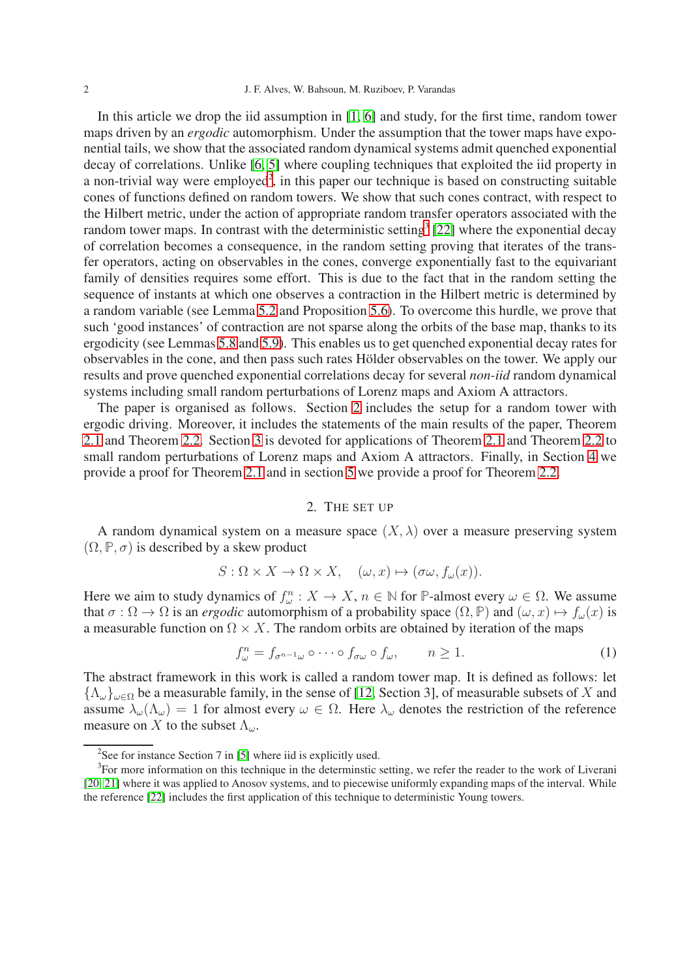In this article we drop the iid assumption in [\[1,](#page-22-1) [6\]](#page-23-2) and study, for the first time, random tower maps driven by an *ergodic* automorphism. Under the assumption that the tower maps have exponential tails, we show that the associated random dynamical systems admit quenched exponential decay of correlations. Unlike [\[6,](#page-23-2) [5\]](#page-22-0) where coupling techniques that exploited the iid property in a non-trivial way were employed<sup>[2](#page-1-0)</sup>, in this paper our technique is based on constructing suitable cones of functions defined on random towers. We show that such cones contract, with respect to the Hilbert metric, under the action of appropriate random transfer operators associated with the random tower maps. In contrast with the deterministic setting<sup>[3](#page-1-1)</sup> [\[22\]](#page-23-13) where the exponential decay of correlation becomes a consequence, in the random setting proving that iterates of the transfer operators, acting on observables in the cones, converge exponentially fast to the equivariant family of densities requires some effort. This is due to the fact that in the random setting the sequence of instants at which one observes a contraction in the Hilbert metric is determined by a random variable (see Lemma [5.2](#page-10-0) and Proposition [5.6\)](#page-14-0). To overcome this hurdle, we prove that such 'good instances' of contraction are not sparse along the orbits of the base map, thanks to its ergodicity (see Lemmas [5.8](#page-18-0) and [5.9\)](#page-19-0). This enables us to get quenched exponential decay rates for observables in the cone, and then pass such rates Hölder observables on the tower. We apply our results and prove quenched exponential correlations decay for several *non-iid* random dynamical systems including small random perturbations of Lorenz maps and Axiom A attractors.

The paper is organised as follows. Section [2](#page-1-2) includes the setup for a random tower with ergodic driving. Moreover, it includes the statements of the main results of the paper, Theorem [2.1](#page-3-0) and Theorem [2.2.](#page-4-0) Section [3](#page-4-1) is devoted for applications of Theorem [2.1](#page-3-0) and Theorem [2.2](#page-4-0) to small random perturbations of Lorenz maps and Axiom A attractors. Finally, in Section [4](#page-7-0) we provide a proof for Theorem [2.1](#page-3-0) and in section [5](#page-8-0) we provide a proof for Theorem [2.2.](#page-4-0)

### 2. THE SET UP

<span id="page-1-2"></span>A random dynamical system on a measure space  $(X, \lambda)$  over a measure preserving system  $(\Omega, \mathbb{P}, \sigma)$  is described by a skew product

$$
S: \Omega \times X \to \Omega \times X, \quad (\omega, x) \mapsto (\sigma \omega, f_{\omega}(x)).
$$

Here we aim to study dynamics of  $f_{\omega}^n : X \to X$ ,  $n \in \mathbb{N}$  for **P**-almost every  $\omega \in \Omega$ . We assume that  $\sigma : \Omega \to \Omega$  is an *ergodic* automorphism of a probability space  $(\Omega, \mathbb{P})$  and  $(\omega, x) \mapsto f_{\omega}(x)$  is a measurable function on  $\Omega \times X$ . The random orbits are obtained by iteration of the maps

<span id="page-1-3"></span>
$$
f_{\omega}^{n} = f_{\sigma^{n-1}\omega} \circ \cdots \circ f_{\sigma\omega} \circ f_{\omega}, \qquad n \ge 1.
$$
 (1)

The abstract framework in this work is called a random tower map. It is defined as follows: let  ${\{\Lambda_{\omega}\}}_{\omega\in\Omega}$  be a measurable family, in the sense of [\[12,](#page-23-14) Section 3], of measurable subsets of X and assume  $\lambda_{\omega}(\Lambda_{\omega}) = 1$  for almost every  $\omega \in \Omega$ . Here  $\lambda_{\omega}$  denotes the restriction of the reference measure on X to the subset  $\Lambda_{\omega}$ .

<span id="page-1-0"></span><sup>&</sup>lt;sup>2</sup>See for instance Section 7 in [\[5\]](#page-22-0) where iid is explicitly used.

<span id="page-1-1"></span><sup>&</sup>lt;sup>3</sup>For more information on this technique in the determinstic setting, we refer the reader to the work of Liverani [\[20,](#page-23-15) [21\]](#page-23-16) where it was applied to Anosov systems, and to piecewise uniformly expanding maps of the interval. While the reference [\[22\]](#page-23-13) includes the first application of this technique to deterministic Young towers.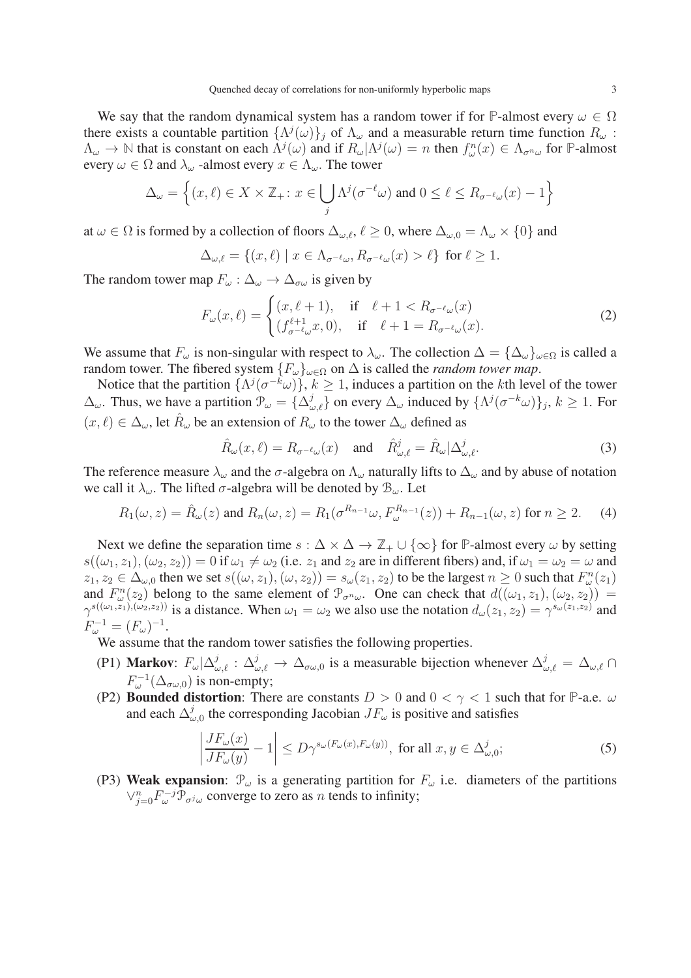We say that the random dynamical system has a random tower if for **P**-almost every  $\omega \in \Omega$ there exists a countable partition  $\{\Lambda^j(\omega)\}_j$  of  $\Lambda_\omega$  and a measurable return time function  $R_\omega$ :  $\Lambda_{\omega} \to \mathbb{N}$  that is constant on each  $\Lambda^{j}(\omega)$  and if  $R_{\omega}|\Lambda^{j}(\omega) = n$  then  $f_{\omega}^{n}(x) \in \Lambda_{\sigma^{n}\omega}$  for **P**-almost every  $\omega \in \Omega$  and  $\lambda_{\omega}$  -almost every  $x \in \Lambda_{\omega}$ . The tower

$$
\Delta_{\omega} = \left\{ (x, \ell) \in X \times \mathbb{Z}_+ : x \in \bigcup_j \Lambda^j(\sigma^{-\ell}\omega) \text{ and } 0 \le \ell \le R_{\sigma^{-\ell}\omega}(x) - 1 \right\}
$$

at  $\omega \in \Omega$  is formed by a collection of floors  $\Delta_{\omega,\ell}, \ell \geq 0$ , where  $\Delta_{\omega,0} = \Lambda_{\omega} \times \{0\}$  and

$$
\Delta_{\omega,\ell} = \{(x,\ell) \mid x \in \Lambda_{\sigma^{-\ell}\omega}, R_{\sigma^{-\ell}\omega}(x) > \ell\} \text{ for } \ell \ge 1.
$$

The random tower map  $F_{\omega} : \Delta_{\omega} \to \Delta_{\sigma \omega}$  is given by

$$
F_{\omega}(x,\ell) = \begin{cases} (x,\ell+1), & \text{if } \ell+1 < R_{\sigma^{-\ell}\omega}(x) \\ (f_{\sigma^{-\ell}\omega}^{\ell+1}x,0), & \text{if } \ell+1 = R_{\sigma^{-\ell}\omega}(x). \end{cases}
$$
 (2)

We assume that  $F_{\omega}$  is non-singular with respect to  $\lambda_{\omega}$ . The collection  $\Delta = {\{\Delta_{\omega}\}}_{\omega \in \Omega}$  is called a random tower. The fibered system  $\{F_{\omega}\}_{{\omega}\in{\Omega}}$  on  $\Delta$  is called the *random tower map*.

Notice that the partition  $\{\Lambda^j(\sigma^{-k}\omega)\}, k \geq 1$ , induces a partition on the kth level of the tower  $\Delta_{\omega}$ . Thus, we have a partition  $\mathcal{P}_{\omega} = {\Delta_{\omega,\ell}^{j}}$  on every  $\Delta_{\omega}$  induced by  ${\Lambda^{j}}(\sigma^{-k}\omega)$ ,  $k \ge 1$ . For  $(x, \ell) \in \Delta_{\omega}$ , let  $\hat{R}_{\omega}$  be an extension of  $R_{\omega}$  to the tower  $\Delta_{\omega}$  defined as

$$
\hat{R}_{\omega}(x,\ell) = R_{\sigma^{-\ell}\omega}(x) \quad \text{and} \quad \hat{R}_{\omega,\ell}^{j} = \hat{R}_{\omega}|\Delta_{\omega,\ell}^{j}.
$$
\n(3)

The reference measure  $\lambda_{\omega}$  and the  $\sigma$ -algebra on  $\Lambda_{\omega}$  naturally lifts to  $\Delta_{\omega}$  and by abuse of notation we call it  $\lambda_{\omega}$ . The lifted  $\sigma$ -algebra will be denoted by  $\mathcal{B}_{\omega}$ . Let

$$
R_1(\omega, z) = \hat{R}_{\omega}(z) \text{ and } R_n(\omega, z) = R_1(\sigma^{R_{n-1}}\omega, F_{\omega}^{R_{n-1}}(z)) + R_{n-1}(\omega, z) \text{ for } n \ge 2. \tag{4}
$$

Next we define the separation time  $s : \Delta \times \Delta \to \mathbb{Z}_+ \cup \{\infty\}$  for **P**-almost every  $\omega$  by setting  $s((\omega_1, z_1), (\omega_2, z_2)) = 0$  if  $\omega_1 \neq \omega_2$  (i.e.  $z_1$  and  $z_2$  are in different fibers) and, if  $\omega_1 = \omega_2 = \omega$  and  $z_1, z_2 \in \Delta_{\omega,0}$  then we set  $s((\omega, z_1), (\omega, z_2)) = s_\omega(z_1, z_2)$  to be the largest  $n \geq 0$  such that  $F^n_\omega(z_1)$ and  $F_{\omega}^{n}(z_2)$  belong to the same element of  $\mathcal{P}_{\sigma^n\omega}$ . One can check that  $d((\omega_1, z_1), (\omega_2, z_2))$  =  $\gamma^{s((\omega_1,z_1),(\omega_2,z_2))}$  is a distance. When  $\omega_1 = \omega_2$  we also use the notation  $d_{\omega}(z_1,z_2) = \gamma^{s_{\omega}(z_1,z_2)}$  and  $F_{\omega}^{-1} = (F_{\omega})^{-1}.$ 

We assume that the random tower satisfies the following properties.

- (P1) Markov:  $F_{\omega}|\Delta_{\omega,\ell}^{j} : \Delta_{\omega,\ell}^{j} \to \Delta_{\sigma\omega,0}$  is a measurable bijection whenever  $\Delta_{\omega,\ell}^{j} = \Delta_{\omega,\ell} \cap$  $F_{\omega}^{-1}(\Delta_{\sigma\omega,0})$  is non-empty;
- (P2) **Bounded distortion**: There are constants  $D > 0$  and  $0 < \gamma < 1$  such that for P-a.e.  $\omega$ and each  $\Delta^j_\omega$  $\int_{\omega,0}^{J}$  the corresponding Jacobian  $JF_{\omega}$  is positive and satisfies

<span id="page-2-0"></span>
$$
\left| \frac{JF_{\omega}(x)}{JF_{\omega}(y)} - 1 \right| \le D\gamma^{s_{\omega}(F_{\omega}(x), F_{\omega}(y))}, \text{ for all } x, y \in \Delta^j_{\omega, 0};
$$
 (5)

(P3) Weak expansion:  $\mathcal{P}_{\omega}$  is a generating partition for  $F_{\omega}$  i.e. diameters of the partitions  $\vee_{j=0}^n F_{\omega}^{-j} \mathcal{P}_{\sigma^j \omega}$  converge to zero as *n* tends to infinity;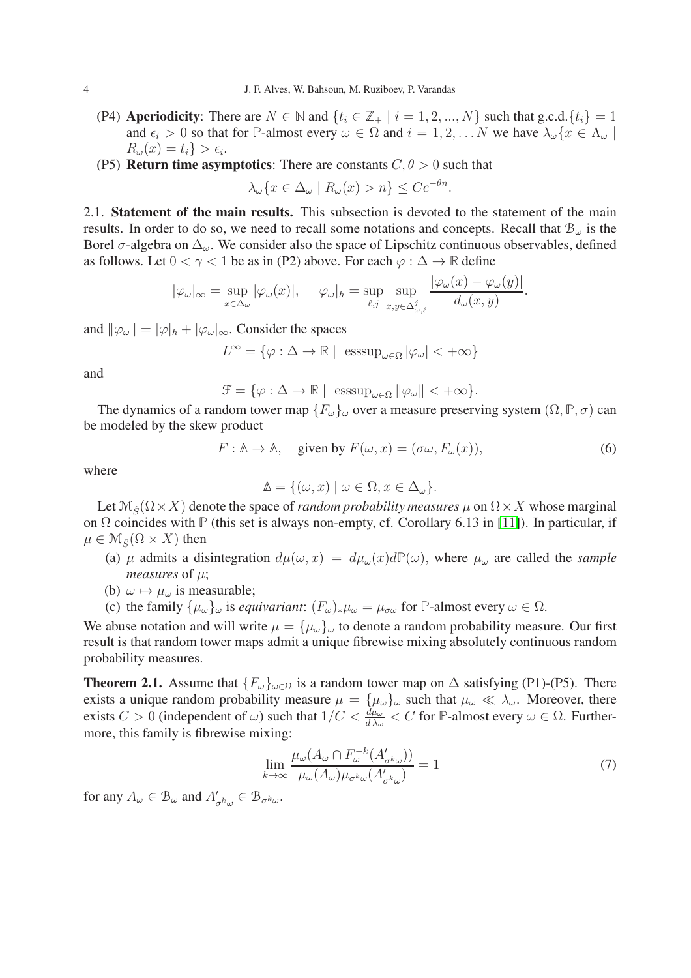- (P4) **Aperiodicity:** There are  $N \in \mathbb{N}$  and  $\{t_i \in \mathbb{Z}_+ \mid i = 1, 2, ..., N\}$  such that g.c.d.  $\{t_i\} = 1$ and  $\epsilon_i > 0$  so that for **P**-almost every  $\omega \in \Omega$  and  $i = 1, 2, \dots N$  we have  $\lambda_{\omega} \{x \in \Lambda_{\omega} \mid \Omega\}$  $R_\omega(x) = t_i$  >  $\epsilon_i$ .
- (P5) **Return time asymptotics:** There are constants  $C, \theta > 0$  such that

$$
\lambda_{\omega}\{x \in \Delta_{\omega} \mid R_{\omega}(x) > n\} \le Ce^{-\theta n}.
$$

2.1. Statement of the main results. This subsection is devoted to the statement of the main results. In order to do so, we need to recall some notations and concepts. Recall that  $B_{\omega}$  is the Borel  $\sigma$ -algebra on  $\Delta_{\omega}$ . We consider also the space of Lipschitz continuous observables, defined as follows. Let  $0 < \gamma < 1$  be as in (P2) above. For each  $\varphi : \Delta \to \mathbb{R}$  define

$$
|\varphi_{\omega}|_{\infty} = \sup_{x \in \Delta_{\omega}} |\varphi_{\omega}(x)|, \quad |\varphi_{\omega}|_{h} = \sup_{\ell, j} \sup_{x, y \in \Delta_{\omega,\ell}^{j}} \frac{|\varphi_{\omega}(x) - \varphi_{\omega}(y)|}{d_{\omega}(x, y)}.
$$

and  $\|\varphi_{\omega}\| = |\varphi|_h + |\varphi_{\omega}|_{\infty}$ . Consider the spaces

$$
L^{\infty} = \{ \varphi : \Delta \to \mathbb{R} \mid \; \text{esssup}_{\omega \in \Omega} |\varphi_{\omega}| < +\infty \}
$$

and

 $\mathcal{F} = \{ \varphi : \Delta \to \mathbb{R} \mid \operatorname{esssup}_{\omega \in \Omega} ||\varphi_{\omega}|| < +\infty \}.$ 

The dynamics of a random tower map  ${F_\omega}_{\omega}$  over a measure preserving system  $(\Omega, \mathbb{P}, \sigma)$  can be modeled by the skew product

<span id="page-3-1"></span>
$$
F: \mathbb{A} \to \mathbb{A}, \quad \text{given by } F(\omega, x) = (\sigma \omega, F_{\omega}(x)), \tag{6}
$$

where

$$
\mathbb{A} = \{ (\omega, x) \mid \omega \in \Omega, x \in \Delta_{\omega} \}.
$$

Let  $\mathcal{M}_{\hat{\mathcal{S}}}\left(\Omega \times X\right)$  denote the space of *random probability measures*  $\mu$  on  $\Omega \times X$  whose marginal on Ω coincides with **P** (this set is always non-empty, cf. Corollary 6.13 in [\[11\]](#page-23-17)). In particular, if  $\mu \in \mathcal{M}_{\hat{S}}(\Omega \times X)$  then

- (a)  $\mu$  admits a disintegration  $d\mu(\omega, x) = d\mu_{\omega}(x) d\mathbb{P}(\omega)$ , where  $\mu_{\omega}$  are called the *sample measures* of  $\mu$ ;
- (b)  $\omega \mapsto \mu_{\omega}$  is measurable;
- (c) the family  $\{\mu_{\omega}\}_{\omega}$  is *equivariant*:  $(F_{\omega})_{*\mu_{\omega}} = \mu_{\sigma\omega}$  for **P**-almost every  $\omega \in \Omega$ .

We abuse notation and will write  $\mu = {\mu_{\omega}}_{\omega}$  to denote a random probability measure. Our first result is that random tower maps admit a unique fibrewise mixing absolutely continuous random probability measures.

<span id="page-3-0"></span>**Theorem 2.1.** Assume that  ${F_\omega}_{\omega \in \Omega}$  is a random tower map on  $\Delta$  satisfying (P1)-(P5). There exists a unique random probability measure  $\mu = {\mu_\omega}_{\omega}$  such that  $\mu_\omega \ll \lambda_\omega$ . Moreover, there exists  $C > 0$  (independent of  $\omega$ ) such that  $1/C < \frac{d\mu_{\omega}}{d\lambda_{\omega}} < C$  for  $\mathbb{P}$ -almost every  $\omega \in \Omega$ . Furthermore, this family is fibrewise mixing:

$$
\lim_{k \to \infty} \frac{\mu_{\omega}(A_{\omega} \cap F_{\omega}^{-k}(A'_{\sigma^k \omega}))}{\mu_{\omega}(A_{\omega})\mu_{\sigma^k \omega}(A'_{\sigma^k \omega})} = 1
$$
\n(7)

for any  $A_{\omega} \in \mathcal{B}_{\omega}$  and  $A'_{\sigma^k \omega} \in \mathcal{B}_{\sigma^k \omega}$ .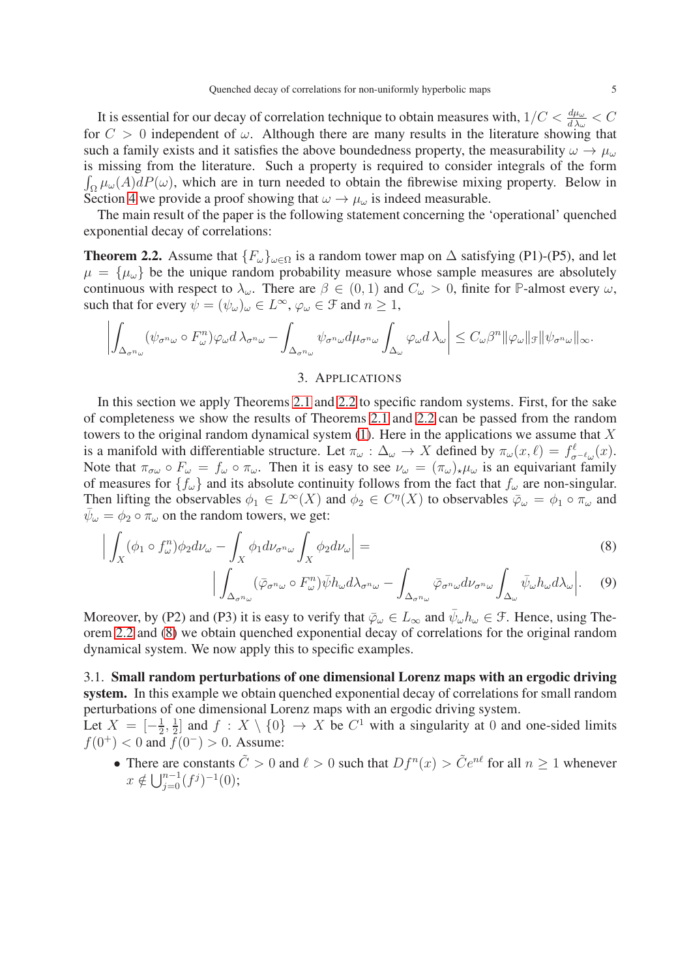It is essential for our decay of correlation technique to obtain measures with,  $1/C < \frac{d\mu_{\omega}}{d\lambda_{\omega}} < C$ for  $C > 0$  independent of  $\omega$ . Although there are many results in the literature showing that such a family exists and it satisfies the above boundedness property, the measurability  $\omega \to \mu_\omega$ is missing from the literature. Such a property is required t o consider integrals of the form  $\int_{\Omega} \mu_{\omega}(A) dP(\omega)$ , which are in turn needed to obtain the fibrewise mixing property. Below in Section [4](#page-7-0) we provide a proof showing that  $\omega \to \mu_\omega$  is indeed measurable.

The main result of the paper is the following statement concerning the 'operational' quenched exponential decay of correlations:

<span id="page-4-0"></span>**Theorem 2.2.** Assume that  $\{F_{\omega}\}_{{\omega}\in\Omega}$  is a random tower map on  $\Delta$  satisfying (P1)-(P5), and let  $\mu = {\mu_{\omega}}$  be the unique random probability measure whose sample measures are absolutely continuous with respect to  $\lambda_{\omega}$ . There are  $\beta \in (0,1)$  and  $C_{\omega} > 0$ , finite for **P**-almost every  $\omega$ , such that for every  $\psi = (\psi_\omega)_\omega \in L^\infty$ ,  $\varphi_\omega \in \mathcal{F}$  and  $n \geq 1$ ,

$$
\left| \int_{\Delta_{\sigma^n \omega}} (\psi_{\sigma^n \omega} \circ F_{\omega}^n) \varphi_{\omega} d \lambda_{\sigma^n \omega} - \int_{\Delta_{\sigma^n \omega}} \psi_{\sigma^n \omega} d\mu_{\sigma^n \omega} \int_{\Delta_{\omega}} \varphi_{\omega} d \lambda_{\omega} \right| \leq C_{\omega} \beta^n ||\varphi_{\omega}||_{\mathcal{F}} ||\psi_{\sigma^n \omega}||_{\infty}.
$$

## <span id="page-4-2"></span>3. APPLICATIONS

<span id="page-4-1"></span>In this section we apply Theorems [2.1](#page-3-0) and [2.2](#page-4-0) to specific random systems. First, for the sake of completeness we show the results of Theorems [2.1](#page-3-0) and [2.2](#page-4-0) can be passed from the random towers to the original random dynamical system  $(1)$ . Here in the applications we assume that X is a manifold with differentiable structure. Let  $\pi_{\omega}: \Delta_{\omega} \to X$  defined by  $\pi_{\omega}(x, \ell) = f_{\sigma^{-\ell_{\omega}}}(x)$ . Note that  $\pi_{\sigma\omega} \circ F_{\omega} = f_{\omega} \circ \pi_{\omega}$ . Then it is easy to see  $\nu_{\omega} = (\pi_{\omega})_{\star}\mu_{\omega}$  is an equivariant family of measures for  $\{f_\omega\}$  and its absolute continuity follows from the fact that  $f_\omega$  are non-singular. Then lifting the observables  $\phi_1 \in L^{\infty}(X)$  and  $\phi_2 \in C^{\eta}(X)$  to observables  $\bar{\varphi}_{\omega} = \phi_1 \circ \pi_{\omega}$  and  $\bar{\psi}_{\omega} = \phi_2 \circ \bar{\pi}_{\omega}$  on the random towers, we get:

$$
\left| \int_{X} (\phi_1 \circ f_{\omega}^n) \phi_2 d\nu_{\omega} - \int_{X} \phi_1 d\nu_{\sigma^n \omega} \int_{X} \phi_2 d\nu_{\omega} \right| =
$$
\n
$$
\left| \int_{X} (\bar{z} - e^{-\bar{E}^n \bar{z} \cdot \bar{z}} \bar{z} + \bar{z}) \right| = \left| \int_{X} (\bar{z} - e^{-\bar{E}^n \bar{z} \cdot \bar{z}} \bar{z} + \bar{z}) \right| = 0
$$
\n(8)

$$
\Big| \int_{\Delta_{\sigma} n_{\omega}} (\bar{\varphi}_{\sigma^n \omega} \circ F_{\omega}^n) \bar{\psi} h_{\omega} d\lambda_{\sigma^n \omega} - \int_{\Delta_{\sigma} n_{\omega}} \bar{\varphi}_{\sigma^n \omega} d\nu_{\sigma^n \omega} \int_{\Delta_{\omega}} \bar{\psi}_{\omega} h_{\omega} d\lambda_{\omega} \Big|.
$$
 (9)

Moreover, by (P2) and (P3) it is easy to verify that  $\bar{\varphi}_{\omega} \in L_{\infty}$  and  $\bar{\psi}_{\omega} h_{\omega} \in \mathcal{F}$ . Hence, using Theorem [2.2](#page-4-0) and [\(8\)](#page-4-2) we obtain quenched exponential decay of correlations for the original random dynamical system. We now apply this to specific examples.

# 3.1. Small random perturbations of one dimensional Lorenz maps with an ergodic driving system. In this example we obtain quenched exponential decay of correlations for small random perturbations of one dimensional Lorenz maps with an ergodic driving system.

Let  $X = \left[-\frac{1}{2}\right]$  $\frac{1}{2}, \frac{1}{2}$  $\frac{1}{2}$  and  $f: X \setminus \{0\} \to X$  be  $C^1$  with a singularity at 0 and one-sided limits  $f(0^+)$  < 0 and  $f(0^-)$  > 0. Assume:

• There are constants  $\tilde{C} > 0$  and  $\ell > 0$  such that  $Df^{n}(x) > \tilde{C}e^{n\ell}$  for all  $n \ge 1$  whenever  $x \notin \bigcup_{j=0}^{n-1} (f^j)^{-1}(0);$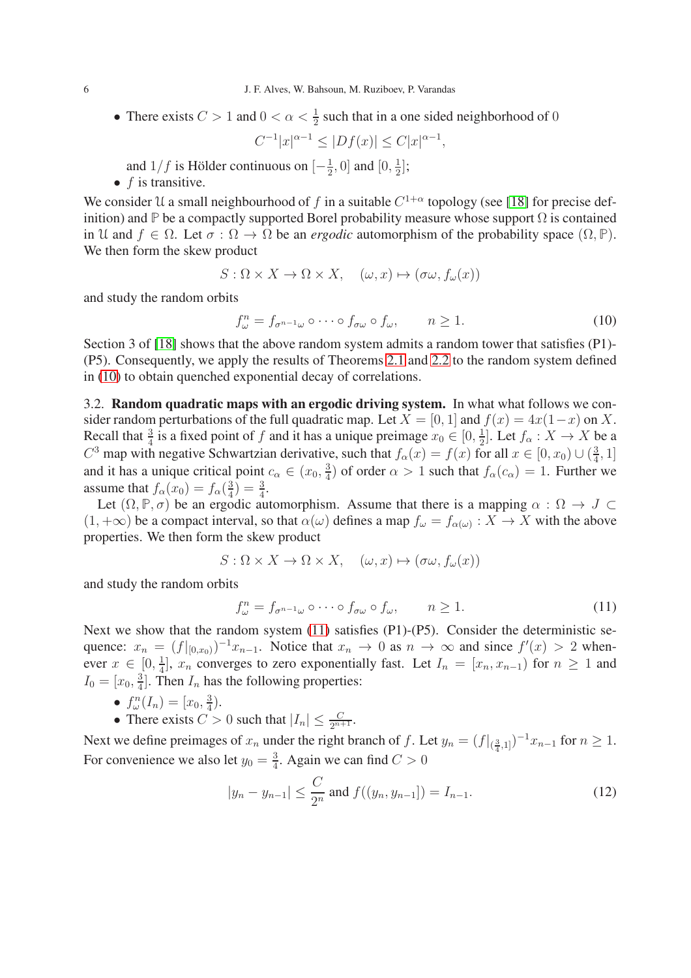• There exists  $C > 1$  and  $0 < \alpha < \frac{1}{2}$  such that in a one sided neighborhood of 0

 $C^{-1}|x|^{\alpha-1} \leq |Df(x)| \leq C|x|^{\alpha-1},$ 

and  $1/f$  is Hölder continuous on  $\left[-\frac{1}{2}\right]$  $\frac{1}{2}$ , 0] and [0,  $\frac{1}{2}$  $\frac{1}{2}$ ];

•  $f$  is transitive.

We consider U a small neighbourhood of f in a suitable  $C^{1+\alpha}$  topology (see [\[18\]](#page-23-18) for precise definition) and **P** be a compactly supported Borel probability measure whose support  $\Omega$  is contained in U and  $f \in \Omega$ . Let  $\sigma : \Omega \to \Omega$  be an *ergodic* automorphism of the probability space  $(\Omega, \mathbb{P})$ . We then form the skew product

$$
S: \Omega \times X \to \Omega \times X, \quad (\omega, x) \mapsto (\sigma \omega, f_{\omega}(x))
$$

and study the random orbits

<span id="page-5-0"></span>
$$
f_{\omega}^{n} = f_{\sigma^{n-1}\omega} \circ \cdots \circ f_{\sigma\omega} \circ f_{\omega}, \qquad n \ge 1.
$$
 (10)

Section 3 of [\[18\]](#page-23-18) shows that the above random system admits a random tower that satisfies (P1)- (P5). Consequently, we apply the results of Theorems [2.1](#page-3-0) and [2.2](#page-4-0) to the random system defined in [\(10\)](#page-5-0) to obtain quenched exponential decay of correlations.

3.2. Random quadratic maps with an ergodic driving system. In what what follows we consider random perturbations of the full quadratic map. Let  $X = [0, 1]$  and  $f(x) = 4x(1-x)$  on X. Recall that  $\frac{3}{4}$  is a fixed point of f and it has a unique preimage  $x_0 \in [0, \frac{1}{2}]$  $\frac{1}{2}$ . Let  $f_{\alpha}: X \to X$  be a  $C^3$  map with negative Schwartzian derivative, such that  $f_\alpha(x) = f(x)$  for all  $x \in [0, x_0) \cup (\frac{3}{4})$  $\frac{3}{4}, 1]$ and it has a unique critical point  $c_{\alpha} \in (x_0, \frac{3}{4})$  $\frac{3}{4}$ ) of order  $\alpha > 1$  such that  $f_{\alpha}(c_{\alpha}) = 1$ . Further we assume that  $f_{\alpha}(x_0) = f_{\alpha}(\frac{3}{4})$  $\frac{3}{4}$ ) =  $\frac{3}{4}$ .

Let  $(\Omega, \mathbb{P}, \sigma)$  be an ergodic automorphism. Assume that there is a mapping  $\alpha : \Omega \to J \subset$  $(1, +\infty)$  be a compact interval, so that  $\alpha(\omega)$  defines a map  $f_{\omega} = f_{\alpha(\omega)} : X \to X$  with the above properties. We then form the skew product

$$
S: \Omega \times X \to \Omega \times X, \quad (\omega, x) \mapsto (\sigma \omega, f_{\omega}(x))
$$

and study the random orbits

<span id="page-5-1"></span>
$$
f_{\omega}^{n} = f_{\sigma^{n-1}\omega} \circ \cdots \circ f_{\sigma\omega} \circ f_{\omega}, \qquad n \ge 1.
$$
 (11)

Next we show that the random system [\(11\)](#page-5-1) satisfies (P1)-(P5). Consider the deterministic sequence:  $x_n = (f|_{[0,x_0)})^{-1}x_{n-1}$ . Notice that  $x_n \to 0$  as  $n \to \infty$  and since  $f'(x) > 2$  whenever  $x \in [0, \frac{1}{4}]$  $\frac{1}{4}$ ,  $x_n$  converges to zero exponentially fast. Let  $I_n = [x_n, x_{n-1}]$  for  $n \ge 1$  and  $I_0 = [x_0, \frac{3}{4}]$  $\frac{3}{4}$ . Then  $I_n$  has the following properties:

- $f_{\omega}^{n}(I_{n}) = [x_{0}, \frac{3}{4}]$  $\frac{3}{4}$ .
- There exists  $C > 0$  such that  $|I_n| \leq \frac{C}{2^{n+1}}$ .

Next we define preimages of  $x_n$  under the right branch of f. Let  $y_n = (f|_{(\frac{3}{4},1]})^{-1} x_{n-1}$  for  $n \ge 1$ . For convenience we also let  $y_0 = \frac{3}{4}$  $\frac{3}{4}$ . Again we can find  $C > 0$ 

$$
|y_n - y_{n-1}| \le \frac{C}{2^n}
$$
 and  $f((y_n, y_{n-1}]) = I_{n-1}.$  (12)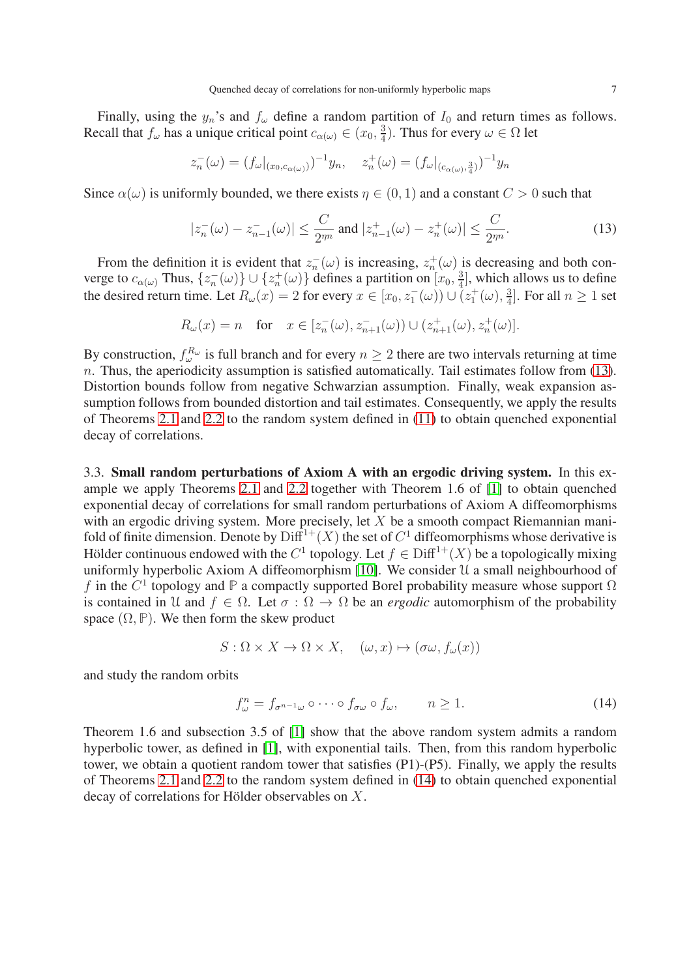Finally, using the  $y_n$ 's and  $f_\omega$  define a random partition of  $I_0$  and return times as follows. Recall that  $f_{\omega}$  has a unique critical point  $c_{\alpha(\omega)} \in (x_0, \frac{3}{4})$  $\frac{3}{4}$ ). Thus for every  $\omega \in \Omega$  let

$$
z_n^{-}(\omega) = (f_{\omega}|_{(x_0,c_{\alpha(\omega)})})^{-1}y_n, \quad z_n^{+}(\omega) = (f_{\omega}|_{(c_{\alpha(\omega)},\frac{3}{4})})^{-1}y_n
$$

Since  $\alpha(\omega)$  is uniformly bounded, we there exists  $\eta \in (0, 1)$  and a constant  $C > 0$  such that

<span id="page-6-0"></span>
$$
|z_n^{-}(\omega) - z_{n-1}^{-}(\omega)| \le \frac{C}{2^{m}} \text{ and } |z_{n-1}^{+}(\omega) - z_n^{+}(\omega)| \le \frac{C}{2^{m}}.
$$
 (13)

From the definition it is evident that  $z_n^-(\omega)$  is increasing,  $z_n^+(\omega)$  is decreasing and both converge to  $c_{\alpha(\omega)}$  Thus,  $\{z_n^-(\omega)\} \cup \{z_n^+(\omega)\}\$  defines a partition on  $[x_0, \frac{3}{4}]$  $\frac{3}{4}$ , which allows us to define the desired return time. Let  $R_{\omega}(x) = 2$  for every  $x \in [x_0, z_1^-(\omega)) \cup (z_1^+(\omega), \frac{3}{4})$  $\frac{3}{4}$ . For all  $n \geq 1$  set

$$
R_{\omega}(x) = n \quad \text{for} \quad x \in [z_n^{-}(\omega), z_{n+1}^{-}(\omega)) \cup (z_{n+1}^{+}(\omega), z_n^{+}(\omega)].
$$

By construction,  $f_{\omega}^{R_{\omega}}$  is full branch and for every  $n \geq 2$  there are two intervals returning at time  $n.$  Thus, the aperiodicity assumption is satisfied automatically. Tail estimates follow from [\(13\)](#page-6-0). Distortion bounds follow from negative Schwarzian assumption. Finally, weak expansion assumption follows from bounded distortion and tail estimates. Consequently, we apply the results of Theorems [2.1](#page-3-0) and [2.2](#page-4-0) to the random system defined in [\(11\)](#page-5-1) to obtain quenched exponential decay of correlations.

3.3. Small random perturbations of Axiom A with an ergodic driving system. In this example we apply Theorems [2.1](#page-3-0) and [2.2](#page-4-0) together with Theorem 1.6 of [\[1\]](#page-22-1) to obtain quenched exponential decay of correlations for small random perturbations of Axiom A diffeomorphisms with an ergodic driving system. More precisely, let  $X$  be a smooth compact Riemannian manifold of finite dimension. Denote by  $\text{Diff}^{1+}(X)$  the set of  $C^1$  diffeomorphisms whose derivative is Hölder continuous endowed with the  $C^1$  topology. Let  $f \in \text{Diff}^{1+}(X)$  be a topologically mixing uniformly hyperbolic Axiom A diffeomorphism [\[10\]](#page-23-19). We consider  $\mathcal U$  a small neighbourhood of f in the  $C^1$  topology and  $\mathbb P$  a compactly supported Borel probability measure whose support  $\Omega$ is contained in U and  $f \in \Omega$ . Let  $\sigma : \Omega \to \Omega$  be an *ergodic* automorphism of the probability space  $(\Omega, \mathbb{P})$ . We then form the skew product

$$
S: \Omega \times X \to \Omega \times X, \quad (\omega, x) \mapsto (\sigma \omega, f_{\omega}(x))
$$

and study the random orbits

<span id="page-6-1"></span>
$$
f_{\omega}^{n} = f_{\sigma^{n-1}\omega} \circ \cdots \circ f_{\sigma\omega} \circ f_{\omega}, \qquad n \ge 1.
$$
 (14)

Theorem 1.6 and subsection 3.5 of [\[1\]](#page-22-1) show that the above random system admits a random hyperbolic tower, as defined in [\[1\]](#page-22-1), with exponential tails. Then, from this random hyperbolic tower, we obtain a quotient random tower that satisfies (P1)-(P5). Finally, we apply the results of Theorems [2.1](#page-3-0) and [2.2](#page-4-0) to the random system defined in [\(14\)](#page-6-1) to obtain quenched exponential decay of correlations for Hölder observables on  $X$ .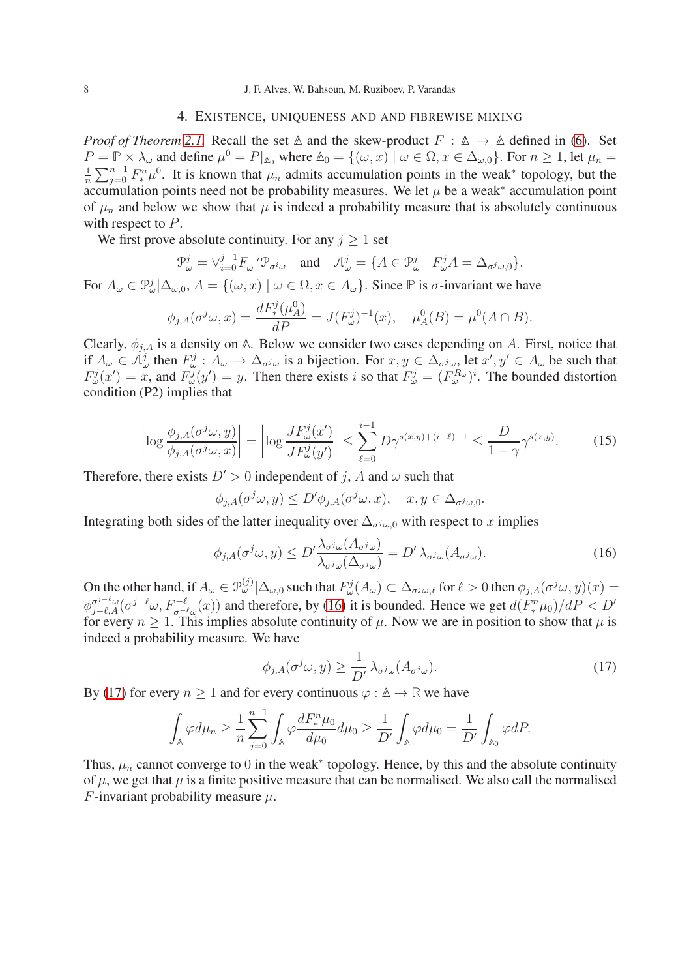#### 4. EXISTENCE, UNIQUENESS AND AND FIBREWISE MIXING

<span id="page-7-0"></span>*Proof of Theorem [2.1.](#page-3-0)* Recall the set  $\triangle$  and the skew-product  $F : \triangle \rightarrow \triangle$  defined in [\(6\)](#page-3-1). Set  $P = \mathbb{P} \times \lambda_{\omega}$  and define  $\mu^0 = P|_{\mathbb{A}_0}$  where  $\mathbb{A}_0 = \{(\omega, x) \mid \omega \in \Omega, x \in \Delta_{\omega,0}\}$ . For  $n \ge 1$ , let  $\mu_n =$ 1  $\frac{1}{n}\sum_{j=0}^{n-1}F_{*}^{n}\mu^{0}$ . It is known that  $\mu_{n}$  admits accumulation points in the weak\* topology, but the accumulation points need not be probability measures. We let  $\mu$  be a weak\* accumulation point of  $\mu_n$  and below we show that  $\mu$  is indeed a probability measure that is absolutely continuous with respect to P.

We first prove absolute continuity. For any  $j \geq 1$  set

$$
\mathfrak{P}_{\omega}^j = \vee_{i=0}^{j-1} F_{\omega}^{-i} \mathfrak{P}_{\sigma^i \omega} \quad \text{and} \quad \mathcal{A}_{\omega}^j = \{ A \in \mathfrak{P}_{\omega}^j \mid F_{\omega}^j A = \Delta_{\sigma^j \omega, 0} \}.
$$

For  $A_\omega \in \mathcal{P}^j_\omega | \Delta_{\omega,0}, A = \{(\omega, x) \mid \omega \in \Omega, x \in A_\omega\}$ . Since  $\mathbb P$  is  $\sigma$ -invariant we have

$$
\phi_{j,A}(\sigma^j \omega, x) = \frac{dF_*^j(\mu_A^0)}{dP} = J(F_\omega^j)^{-1}(x), \quad \mu_A^0(B) = \mu^0(A \cap B).
$$

Clearly,  $\phi_{i,A}$  is a density on  $\Delta$ . Below we consider two cases depending on A. First, notice that if  $A_\omega \in \mathcal{A}^j_\omega$  then  $F^j_\omega : A_\omega \to \Delta_{\sigma^j\omega}$  is a bijection. For  $x, y \in \Delta_{\sigma^j\omega}$  let  $x', y' \in A_\omega$  be such that  $F^j_\omega(x') = x$ , and  $F^j_\omega(y') = y$ . Then there exists i so that  $F^j_\omega = (F^{R_\omega}_\omega)^i$ . The bounded distortion condition (P2) implies that

$$
\left| \log \frac{\phi_{j,A}(\sigma^j \omega, y)}{\phi_{j,A}(\sigma^j \omega, x)} \right| = \left| \log \frac{J F^j_{\omega}(x')}{J F^j_{\omega}(y')} \right| \le \sum_{\ell=0}^{i-1} D\gamma^{s(x,y)+(i-\ell)-1} \le \frac{D}{1-\gamma} \gamma^{s(x,y)}.
$$
 (15)

Therefore, there exists  $D' > 0$  independent of j, A and  $\omega$  such that

$$
\phi_{j,A}(\sigma^j \omega, y) \le D' \phi_{j,A}(\sigma^j \omega, x), \quad x, y \in \Delta_{\sigma^j \omega, 0}.
$$

Integrating both sides of the latter inequality over  $\Delta_{\sigma^j\omega,0}$  with respect to x implies

<span id="page-7-1"></span>
$$
\phi_{j,A}(\sigma^j \omega, y) \le D' \frac{\lambda_{\sigma^j \omega}(A_{\sigma^j \omega})}{\lambda_{\sigma^j \omega}(\Delta_{\sigma^j \omega})} = D' \lambda_{\sigma^j \omega}(A_{\sigma^j \omega}). \tag{16}
$$

On the other hand, if  $A_\omega \in \mathcal{P}^{(j)}_\omega | \Delta_{\omega,0}$  such that  $F^j_\omega(A_\omega) \subset \Delta_{\sigma^j \omega, \ell}$  for  $\ell > 0$  then  $\phi_{j,A}(\sigma^j \omega, y)(x) =$  $\phi_{j-\ell,A}^{\sigma^{j-\ell}\omega}(\sigma^{j-\ell}\omega, F^{-\ell}_{\sigma^{-\ell}\omega}(x))$  and therefore, by [\(16\)](#page-7-1) it is bounded. Hence we get  $d(F_{*}^{n}\mu_{0})/dP < D'$ for every  $n \geq 1$ . This implies absolute continuity of  $\mu$ . Now we are in position to show that  $\mu$  is indeed a probability measure. We have

<span id="page-7-2"></span>
$$
\phi_{j,A}(\sigma^j \omega, y) \ge \frac{1}{D'} \lambda_{\sigma^j \omega}(A_{\sigma^j \omega}).
$$
\n(17)

By [\(17\)](#page-7-2) for every  $n > 1$  and for every continuous  $\varphi : \mathbb{A} \to \mathbb{R}$  we have

$$
\int_{\mathbb{A}}\varphi d\mu_n \geq \frac{1}{n}\sum_{j=0}^{n-1}\int_{\mathbb{A}}\varphi \frac{dF_*^n\mu_0}{d\mu_0}d\mu_0 \geq \frac{1}{D'}\int_{\mathbb{A}}\varphi d\mu_0 = \frac{1}{D'}\int_{\mathbb{A}_0}\varphi dP.
$$

Thus,  $\mu_n$  cannot converge to 0 in the weak<sup>\*</sup> topology. Hence, by this and the absolute continuity of  $\mu$ , we get that  $\mu$  is a finite positive measure that can be normalised. We also call the normalised F-invariant probability measure  $\mu$ .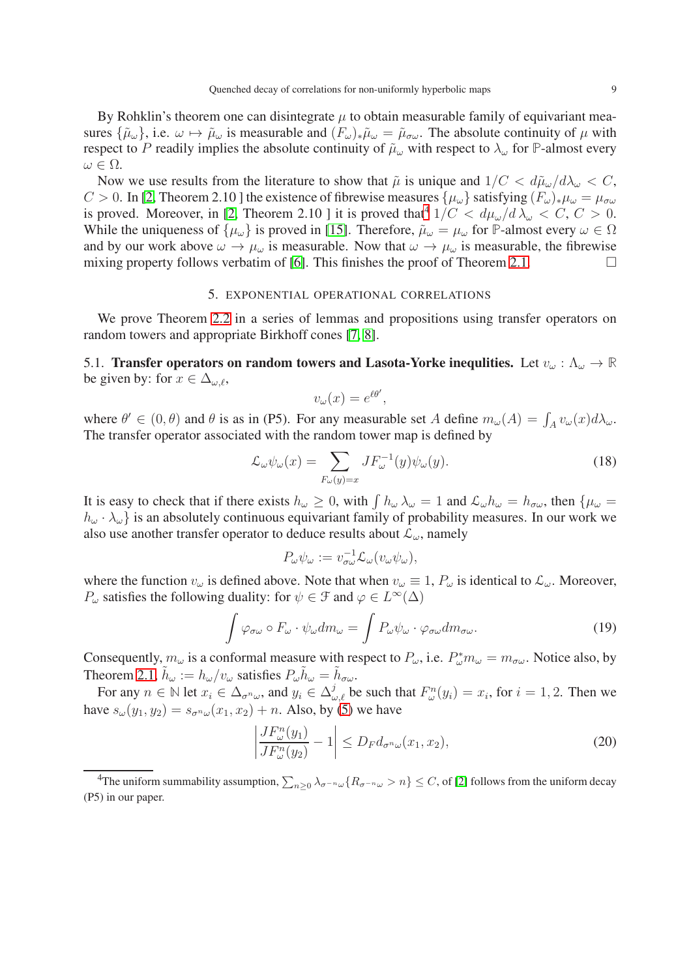By Rohklin's theorem one can disintegrate  $\mu$  to obtain measurable family of equivariant measures  $\{\tilde{\mu}_{\omega}\}\)$ , i.e.  $\omega \mapsto \tilde{\mu}_{\omega}$  is measurable and  $(F_{\omega})_*\tilde{\mu}_{\omega} = \tilde{\mu}_{\sigma\omega}$ . The absolute continuity of  $\mu$  with respect to P readily implies the absolute continuity of  $\tilde{\mu}_{\omega}$  with respect to  $\lambda_{\omega}$  for **P**-almost every  $\omega \in \Omega$ .

Now we use results from the literature to show that  $\tilde{\mu}$  is unique and  $1/C < d\tilde{\mu}_{\omega}/d\lambda_{\omega} < C$ , C > 0. In [\[2,](#page-22-4) Theorem 2.10 ] the existence of fibrewise measures  $\{\mu_{\omega}\}\$  satisfying  $(F_{\omega})_*\mu_{\omega} = \mu_{\sigma\omega}$ is proved. Moreover, in [\[2,](#page-22-4) Theorem 2.10 ] it is proved that  $1/C < d\mu_{\omega}/d\lambda_{\omega} < C, C > 0$ . While the uniqueness of  $\{\mu_{\omega}\}\$ is proved in [\[15\]](#page-23-9). Therefore,  $\tilde{\mu}_{\omega} = \mu_{\omega}$  for **P**-almost every  $\omega \in \Omega$ and by our work above  $\omega \to \mu_{\omega}$  is measurable. Now that  $\omega \to \mu_{\omega}$  is measurable, the fibrewise mixing property follows verbatim of [\[6\]](#page-23-2). This finishes the proof of Theorem [2.1.](#page-3-0)  $\Box$ 

### 5. EXPONENTIAL OPERATIONAL CORRELATIONS

<span id="page-8-0"></span>We prove Theorem [2.2](#page-4-0) in a series of lemmas and propositions using transfer operators on random towers and appropriate Birkhoff cones [\[7,](#page-23-20) [8\]](#page-23-21).

5.1. Transfer operators on random towers and Lasota-Yorke inequities. Let  $v_\omega : \Lambda_\omega \to \mathbb{R}$ be given by: for  $x \in \Delta_{\omega,\ell}$ ,

$$
v_{\omega}(x) = e^{\ell \theta'},
$$

where  $\theta' \in (0, \theta)$  and  $\theta$  is as in (P5). For any measurable set A define  $m_{\omega}(A) = \int_A v_{\omega}(x) d\lambda_{\omega}$ . The transfer operator associated with the random tower map is defined by

$$
\mathcal{L}_{\omega}\psi_{\omega}(x) = \sum_{F_{\omega}(y)=x} JF_{\omega}^{-1}(y)\psi_{\omega}(y).
$$
\n(18)

It is easy to check that if there exists  $h_{\omega} \geq 0$ , with  $\int h_{\omega} \lambda_{\omega} = 1$  and  $\mathcal{L}_{\omega} h_{\omega} = h_{\sigma \omega}$ , then  $\{\mu_{\omega} = 1\}$  $h_{\omega} \cdot \lambda_{\omega}$  is an absolutely continuous equivariant family of probability measures. In our work we also use another transfer operator to deduce results about  $\mathcal{L}_{\omega}$ , namely

$$
P_{\omega}\psi_{\omega} := v_{\sigma\omega}^{-1} \mathcal{L}_{\omega} (v_{\omega}\psi_{\omega}),
$$

where the function  $v_{\omega}$  is defined above. Note that when  $v_{\omega} \equiv 1$ ,  $P_{\omega}$  is identical to  $\mathcal{L}_{\omega}$ . Moreover,  $P_{\omega}$  satisfies the following duality: for  $\psi \in \mathcal{F}$  and  $\varphi \in L^{\infty}(\Delta)$ 

<span id="page-8-3"></span>
$$
\int \varphi_{\sigma\omega} \circ F_{\omega} \cdot \psi_{\omega} dm_{\omega} = \int P_{\omega} \psi_{\omega} \cdot \varphi_{\sigma\omega} dm_{\sigma\omega}.
$$
\n(19)

Consequently,  $m_\omega$  is a conformal measure with respect to  $P_\omega$ , i.e.  $P_\omega^* m_\omega = m_{\sigma\omega}$ . Notice also, by Theorem [2.1,](#page-3-0)  $\tilde{h}_{\omega} := h_{\omega}/v_{\omega}$  satisfies  $P_{\omega} \tilde{h}_{\omega} = \tilde{h}_{\sigma \omega}$ .

For any  $n \in \mathbb{N}$  let  $x_i \in \Delta_{\sigma^n \omega}$ , and  $y_i \in \Delta_{\omega, \ell}^j$  be such that  $F_{\omega}^n(y_i) = x_i$ , for  $i = 1, 2$ . Then we have  $s_{\omega}(y_1, y_2) = s_{\sigma^n \omega}(x_1, x_2) + n$ . Also, by [\(5\)](#page-2-0) we have

<span id="page-8-2"></span>
$$
\left| \frac{JF_{\omega}^n(y_1)}{JF_{\omega}^n(y_2)} - 1 \right| \le D_F d_{\sigma^n \omega}(x_1, x_2),\tag{20}
$$

<span id="page-8-1"></span><sup>4</sup>The uniform summability assumption,  $\sum_{n\geq 0}\lambda_{\sigma^{-n}\omega}\{R_{\sigma^{-n}\omega}>n\}\leq C$ , of [\[2\]](#page-22-4) follows from the uniform decay (P5) in our paper.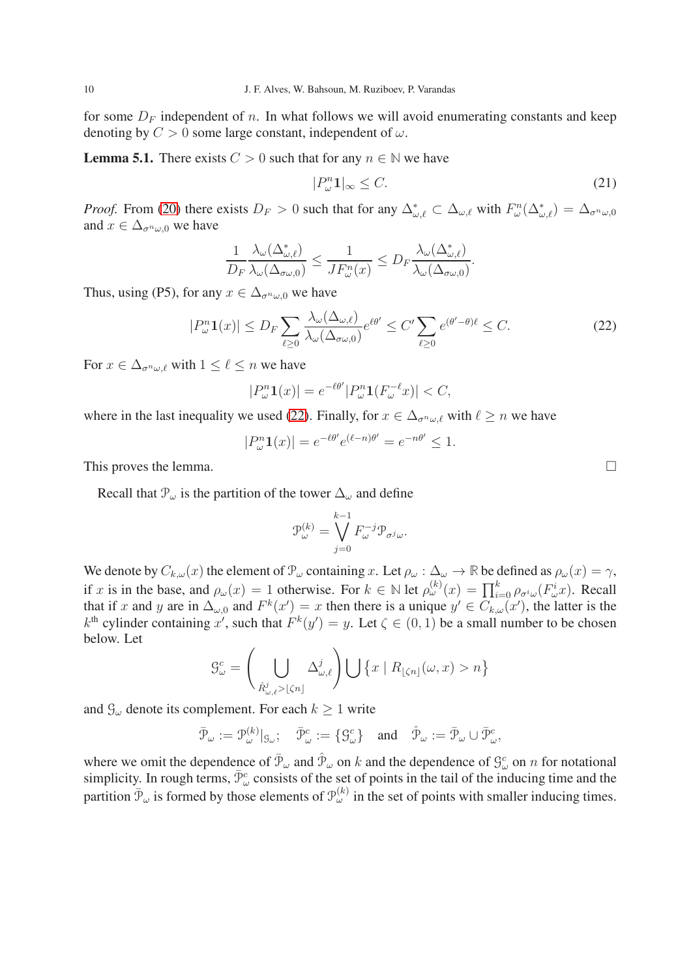for some  $D_F$  independent of n. In what follows we will avoid enumerating constants and keep denoting by  $C > 0$  some large constant, independent of  $\omega$ .

**Lemma 5.1.** There exists  $C > 0$  such that for any  $n \in \mathbb{N}$  we have

<span id="page-9-1"></span>
$$
|P_{\omega}^n \mathbf{1}|_{\infty} \le C. \tag{21}
$$

*Proof.* From [\(20\)](#page-8-2) there exists  $D_F > 0$  such that for any  $\Delta_{\omega,\ell}^* \subset \Delta_{\omega,\ell}$  with  $F_{\omega}^n(\Delta_{\omega,\ell}^*) = \Delta_{\sigma^n\omega,0}$ and  $x \in \Delta_{\sigma^n \omega, 0}$  we have

$$
\frac{1}{D_F}\frac{\lambda_{\omega}(\Delta^*_{\omega,\ell})}{\lambda_{\omega}(\Delta_{\sigma\omega,0})}\leq \frac{1}{J F_{\omega}^n(x)}\leq D_F\frac{\lambda_{\omega}(\Delta^*_{\omega,\ell})}{\lambda_{\omega}(\Delta_{\sigma\omega,0})}.
$$

Thus, using (P5), for any  $x \in \Delta_{\sigma^{n_{(1,1)}}}$  we have

<span id="page-9-0"></span>
$$
|P_{\omega}^n \mathbf{1}(x)| \le D_F \sum_{\ell \ge 0} \frac{\lambda_{\omega}(\Delta_{\omega,\ell})}{\lambda_{\omega}(\Delta_{\sigma\omega,0})} e^{\ell\theta'} \le C' \sum_{\ell \ge 0} e^{(\theta'-\theta)\ell} \le C. \tag{22}
$$

For  $x \in \Delta_{\sigma^n \omega, \ell}$  with  $1 \leq \ell \leq n$  we have

$$
|P_{\omega}^n \mathbf{1}(x)| = e^{-\ell \theta'} |P_{\omega}^n \mathbf{1}(F_{\omega}^{-\ell} x)| < C,
$$

where in the last inequality we used [\(22\)](#page-9-0). Finally, for  $x \in \Delta_{\sigma^n \omega, \ell}$  with  $\ell \geq n$  we have

$$
|P_{\omega}^n \mathbf{1}(x)| = e^{-\ell \theta'} e^{(\ell - n)\theta'} = e^{-n\theta'} \le 1.
$$

This proves the lemma.  $\Box$ 

Recall that  $\mathcal{P}_{\omega}$  is the partition of the tower  $\Delta_{\omega}$  and define

$$
\mathfrak{P}_\omega^{(k)}=\bigvee_{j=0}^{k-1}F_\omega^{-j}\mathfrak{P}_{\sigma^j\omega}.
$$

We denote by  $C_{k,\omega}(x)$  the element of  $\mathcal{P}_{\omega}$  containing x. Let  $\rho_{\omega} : \Delta_{\omega} \to \mathbb{R}$  be defined as  $\rho_{\omega}(x) = \gamma$ , if x is in the base, and  $\rho_\omega(x) = 1$  otherwise. For  $k \in \mathbb{N}$  let  $\rho_\omega^{(k)}(x) = \prod_{i=0}^k \rho_{\sigma^i \omega}(F^i_\omega x)$ . Recall that if x and y are in  $\Delta_{\omega,0}$  and  $F^k(x') = x$  then there is a unique  $y' \in C_{k,\omega}(x')$ , the latter is the  $k^{\text{th}}$  cylinder containing x', such that  $F^k(y') = y$ . Let  $\zeta \in (0,1)$  be a small number to be chosen below. Let

$$
\mathcal{G}_{\omega}^c = \left(\bigcup_{\hat{R}_{\omega,\ell}^j > \lfloor \zeta n \rfloor} \Delta_{\omega,\ell}^j\right) \bigcup \left\{x \mid R_{\lfloor \zeta n \rfloor}(\omega, x) > n\right\}
$$

and  $\mathcal{G}_{\omega}$  denote its complement. For each  $k \geq 1$  write

$$
\bar{\mathcal{P}}_{\omega} := \mathcal{P}_{\omega}^{(k)}|_{\mathcal{G}_{\omega}}; \quad \bar{\mathcal{P}}_{\omega}^c := \{ \mathcal{G}_{\omega}^c \} \quad \text{and} \quad \hat{\mathcal{P}}_{\omega} := \bar{\mathcal{P}}_{\omega} \cup \bar{\mathcal{P}}_{\omega}^c,
$$

where we omit the dependence of  $\bar{P}_{\omega}$  and  $\hat{P}_{\omega}$  on k and the dependence of  $\mathcal{G}_{\omega}^c$  on n for notational simplicity. In rough terms,  $\bar{\mathcal{P}}^c_\omega$  consists of the set of points in the tail of the inducing time and the partition  $\bar{\mathcal{P}}_{\omega}$  is formed by those elements of  $\mathcal{P}_{\omega}^{(k)}$  in the set of points with smaller inducing times.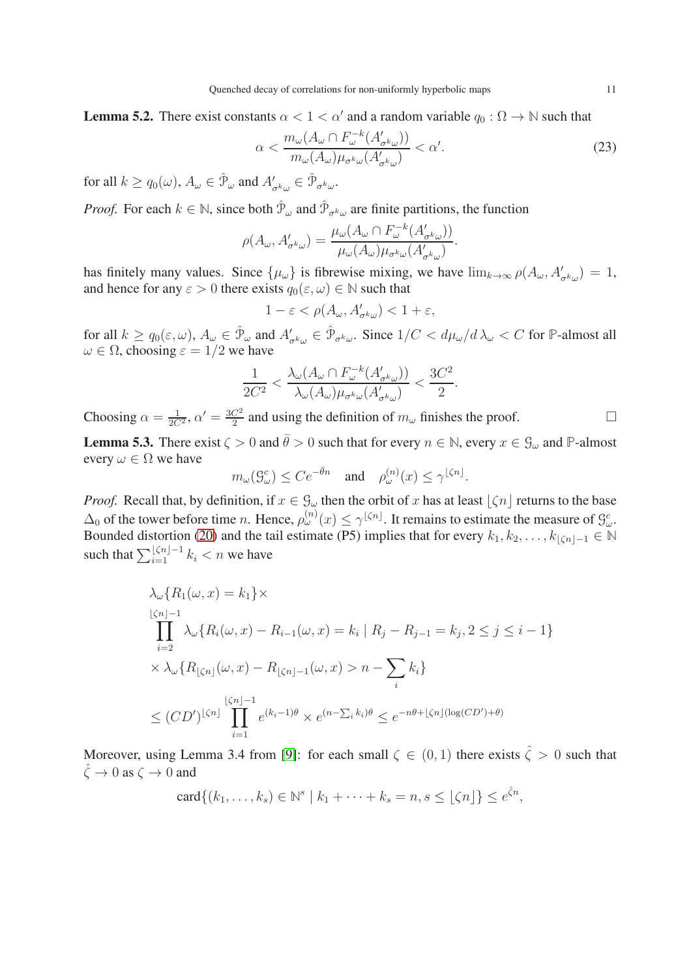<span id="page-10-0"></span>**Lemma 5.2.** There exist constants  $\alpha < 1 < \alpha'$  and a random variable  $q_0 : \Omega \to \mathbb{N}$  such that

<span id="page-10-2"></span>
$$
\alpha < \frac{m_{\omega}(A_{\omega} \cap F_{\omega}^{-k}(A_{\sigma^k \omega}'))}{m_{\omega}(A_{\omega})\mu_{\sigma^k \omega}(A_{\sigma^k \omega}')} < \alpha'.\tag{23}
$$

for all  $k \ge q_0(\omega)$ ,  $A_{\omega} \in \hat{\mathcal{P}}_{\omega}$  and  $A'_{\sigma^k \omega} \in \hat{\mathcal{P}}_{\sigma^k \omega}$ .

*Proof.* For each  $k \in \mathbb{N}$ , since both  $\hat{\mathcal{P}}_{\omega}$  and  $\hat{\mathcal{P}}_{\sigma^k \omega}$  are finite partitions, the function

$$
\rho(A_{\omega}, A'_{\sigma^k \omega}) = \frac{\mu_{\omega}(A_{\omega} \cap F_{\omega}^{-k}(A'_{\sigma^k \omega}))}{\mu_{\omega}(A_{\omega})\mu_{\sigma^k \omega}(A'_{\sigma^k \omega})}.
$$

has finitely many values. Since  $\{\mu_{\omega}\}\$ is fibrewise mixing, we have  $\lim_{k\to\infty}\rho(A_{\omega}, A'_{\sigma^k\omega})=1$ , and hence for any  $\varepsilon > 0$  there exists  $q_0(\varepsilon, \omega) \in \mathbb{N}$  such that

$$
1-\varepsilon<\rho(A_\omega,A'_{\sigma^k\omega})<1+\varepsilon,
$$

for all  $k \ge q_0(\varepsilon, \omega)$ ,  $A_\omega \in \hat{\mathcal{P}}_\omega$  and  $A'_{\sigma^k \omega} \in \hat{\mathcal{P}}_{\sigma^k \omega}$ . Since  $1/C < d\mu_\omega / d\lambda_\omega < C$  for  $\mathbb P$ -almost all  $\omega \in \Omega$ , choosing  $\varepsilon = 1/2$  we have

$$
\frac{1}{2C^2} < \frac{\lambda_\omega(A_\omega \cap F_\omega^{-k}(A'_{\sigma^k \omega}))}{\lambda_\omega(A_\omega)\mu_{\sigma^k \omega}(A'_{\sigma^k \omega})} < \frac{3C^2}{2}.
$$

Choosing  $\alpha = \frac{1}{2C^2}$ ,  $\alpha' = \frac{3C^2}{2}$  $\frac{C^2}{2}$  and using the definition of  $m_\omega$  finishes the proof.

<span id="page-10-1"></span>**Lemma 5.3.** There exist  $\zeta > 0$  and  $\bar{\theta} > 0$  such that for every  $n \in \mathbb{N}$ , every  $x \in \mathcal{G}_{\omega}$  and  $\mathbb{P}$ -almost every  $\omega \in \Omega$  we have

$$
m_{\omega}(\mathcal{G}_{\omega}^c) \leq Ce^{-\bar{\theta}n}
$$
 and  $\rho_{\omega}^{(n)}(x) \leq \gamma^{\lfloor \zeta n \rfloor}$ .

*Proof.* Recall that, by definition, if  $x \in \mathcal{G}_{\omega}$  then the orbit of x has at least  $\lfloor \zeta n \rfloor$  returns to the base  $\Delta_0$  of the tower before time *n*. Hence,  $\rho_{\omega}^{(n)}(x) \le \gamma^{\lfloor \zeta n \rfloor}$ . It remains to estimate the measure of  $\mathcal{G}_{\omega}^c$ . Bounded distortion [\(20\)](#page-8-2) and the tail estimate (P5) implies that for every  $k_1, k_2, \ldots, k_{\lfloor \zeta n \rfloor - 1} \in \mathbb{N}$ such that  $\sum_{i=1}^{\lfloor \zeta n \rfloor -1} k_i < n$  we have

$$
\lambda_{\omega} \{ R_1(\omega, x) = k_1 \} \times
$$
\n
$$
\prod_{i=2}^{\lfloor \zeta n \rfloor - 1} \lambda_{\omega} \{ R_i(\omega, x) - R_{i-1}(\omega, x) = k_i \mid R_j - R_{j-1} = k_j, 2 \le j \le i - 1 \}
$$
\n
$$
\times \lambda_{\omega} \{ R_{\lfloor \zeta n \rfloor}(\omega, x) - R_{\lfloor \zeta n \rfloor - 1}(\omega, x) > n - \sum_i k_i \}
$$
\n
$$
\le (CD')^{\lfloor \zeta n \rfloor} \prod_{i=1}^{\lfloor \zeta n \rfloor - 1} e^{(k_i - 1)\theta} \times e^{(n - \sum_i k_i)\theta} \le e^{-n\theta + \lfloor \zeta n \rfloor (\log(CD') + \theta)}
$$

Moreover, using Lemma 3.4 from [\[9\]](#page-23-22): for each small  $\zeta \in (0,1)$  there exists  $\hat{\zeta} > 0$  such that  $\hat{\zeta} \to 0$  as  $\zeta \to 0$  and

$$
\operatorname{card}\{(k_1,\ldots,k_s)\in\mathbb{N}^s\mid k_1+\cdots+k_s=n, s\leq\lfloor\zeta n\rfloor\}\leq e^{\hat{\zeta}n},
$$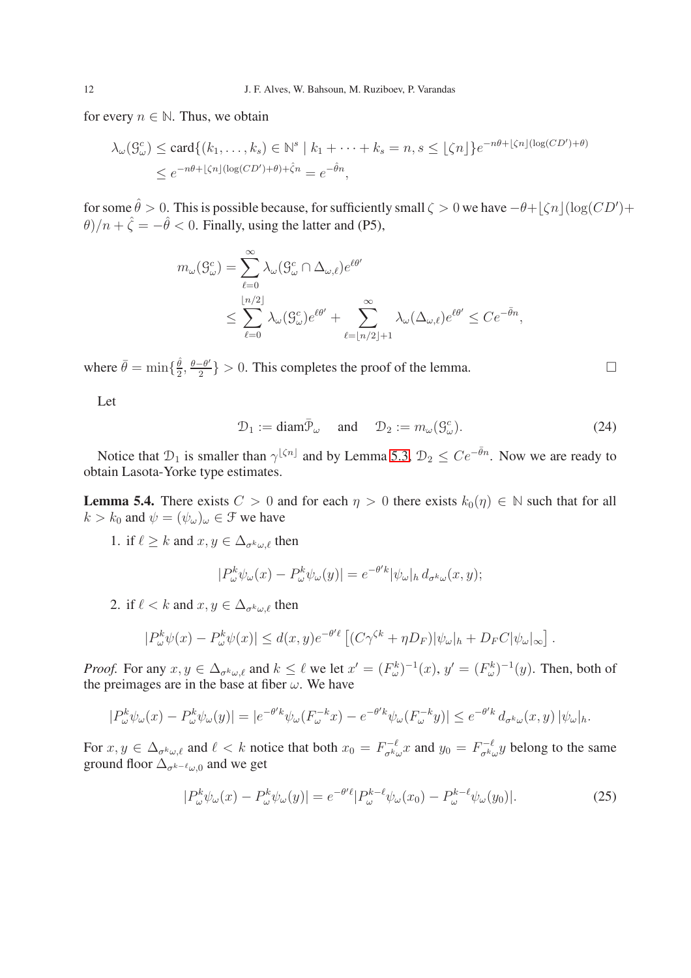for every  $n \in \mathbb{N}$ . Thus, we obtain

$$
\lambda_{\omega}(\mathcal{G}_{\omega}^c) \le \text{card}\{(k_1, \dots, k_s) \in \mathbb{N}^s \mid k_1 + \dots + k_s = n, s \le \lfloor \zeta n \rfloor\} e^{-n\theta + \lfloor \zeta n \rfloor (\log(CD') + \theta)}
$$
  

$$
\le e^{-n\theta + \lfloor \zeta n \rfloor (\log(CD') + \theta) + \hat{\zeta}n} = e^{-\hat{\theta}n},
$$

for some  $\hat{\theta} > 0$ . This is possible because, for sufficiently small  $\zeta > 0$  we have  $-\theta + \lfloor \zeta n \rfloor (\log(CD')) +$  $\theta$ )/n +  $\hat{\zeta} = -\hat{\theta} < 0$ . Finally, using the latter and (P5),

$$
m_{\omega}(S_{\omega}^{c}) = \sum_{\ell=0}^{\infty} \lambda_{\omega}(S_{\omega}^{c} \cap \Delta_{\omega,\ell}) e^{\ell\theta'}
$$
  

$$
\leq \sum_{\ell=0}^{\lfloor n/2 \rfloor} \lambda_{\omega}(S_{\omega}^{c}) e^{\ell\theta'} + \sum_{\ell=\lfloor n/2 \rfloor+1}^{\infty} \lambda_{\omega}(\Delta_{\omega,\ell}) e^{\ell\theta'} \leq Ce^{-\bar{\theta}n},
$$

where  $\bar{\theta} = \min\{\frac{\hat{\theta}}{2}$  $\frac{\hat{\theta}}{2}, \frac{\theta-\theta'}{2}$  $\left\{\frac{-\theta'}{2}\right\} > 0$ . This completes the proof of the lemma.

Let

<span id="page-11-2"></span>
$$
\mathcal{D}_1 := \text{diam}\overline{\mathcal{P}}_\omega \quad \text{and} \quad \mathcal{D}_2 := m_\omega(\mathcal{G}^c_\omega). \tag{24}
$$

Notice that  $\mathcal{D}_1$  is smaller than  $\gamma^{\lfloor \zeta n \rfloor}$  and by Lemma [5.3,](#page-10-1)  $\mathcal{D}_2 \leq Ce^{-\bar{\theta}n}$ . Now we are ready to obtain Lasota-Yorke type estimates.

<span id="page-11-1"></span>**Lemma 5.4.** There exists  $C > 0$  and for each  $\eta > 0$  there exists  $k_0(\eta) \in \mathbb{N}$  such that for all  $k > k_0$  and  $\psi = (\psi_\omega)_\omega \in \mathcal{F}$  we have

1. if  $\ell \geq k$  and  $x, y \in \Delta_{\sigma^k(\mu)}$  then

$$
|P_{\omega}^{k}\psi_{\omega}(x) - P_{\omega}^{k}\psi_{\omega}(y)| = e^{-\theta' k} |\psi_{\omega}|_{h} d_{\sigma^{k}\omega}(x, y);
$$

2. if  $\ell < k$  and  $x, y \in \Delta_{\sigma^k \omega, \ell}$  then

$$
|P_{\omega}^{k}\psi(x)-P_{\omega}^{k}\psi(x)|\leq d(x,y)e^{-\theta'\ell}\left[ (C\gamma^{\zeta k}+\eta D_{F})|\psi_{\omega}|_{h}+D_{F}C|\psi_{\omega}|_{\infty}\right].
$$

*Proof.* For any  $x, y \in \Delta_{\sigma^k \omega, \ell}$  and  $k \leq \ell$  we let  $x' = (F_{\omega}^k)^{-1}(x), y' = (F_{\omega}^k)^{-1}(y)$ . Then, both of the preimages are in the base at fiber  $\omega$ . We have

$$
|P^k_\omega \psi_\omega(x) - P^k_\omega \psi_\omega(y)| = |e^{-\theta' k} \psi_\omega(F^{-k}_\omega x) - e^{-\theta' k} \psi_\omega(F^{-k}_\omega y)| \le e^{-\theta' k} d_{\sigma^k \omega}(x, y) |\psi_\omega|_h.
$$

For  $x, y \in \Delta_{\sigma^k \omega, \ell}$  and  $\ell < k$  notice that both  $x_0 = F_{\sigma^k \ell}^{-\ell}$  $\int_{\sigma^k \omega}^{\sigma - \ell} x$  and  $y_0 = F_{\sigma^k \zeta}^{-\ell}$  $\int_{\sigma^k \omega}^{\sigma-k} y$  belong to the same ground floor  $\Delta_{\sigma^{k-\ell}\omega,0}$  and we get

<span id="page-11-0"></span>
$$
|P_{\omega}^{k}\psi_{\omega}(x) - P_{\omega}^{k}\psi_{\omega}(y)| = e^{-\theta' \ell} |P_{\omega}^{k-\ell}\psi_{\omega}(x_0) - P_{\omega}^{k-\ell}\psi_{\omega}(y_0)|. \tag{25}
$$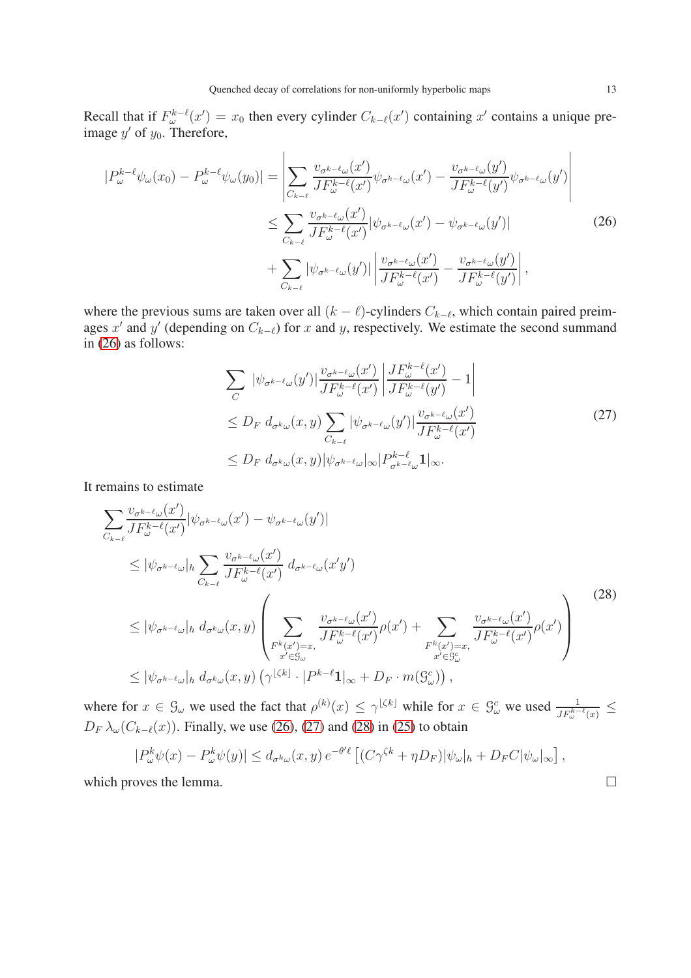Recall that if  $F_{\omega}^{k-\ell}(x') = x_0$  then every cylinder  $C_{k-\ell}(x')$  containing x' contains a unique preimage  $y'$  of  $y_0$ . Therefore,

<span id="page-12-0"></span>
$$
|P_{\omega}^{k-\ell}\psi_{\omega}(x_0) - P_{\omega}^{k-\ell}\psi_{\omega}(y_0)| = \left| \sum_{C_{k-\ell}} \frac{v_{\sigma^{k-\ell}\omega}(x')}{JF_{\omega}^{k-\ell}(x')} \psi_{\sigma^{k-\ell}\omega}(x') - \frac{v_{\sigma^{k-\ell}\omega}(y')}{JF_{\omega}^{k-\ell}(y')} \psi_{\sigma^{k-\ell}\omega}(y') \right|
$$
  

$$
\leq \sum_{C_{k-\ell}} \frac{v_{\sigma^{k-\ell}\omega}(x')}{JF_{\omega}^{k-\ell}(x')} |\psi_{\sigma^{k-\ell}\omega}(x') - \psi_{\sigma^{k-\ell}\omega}(y')|
$$
(26)  

$$
+ \sum_{C_{k-\ell}} |\psi_{\sigma^{k-\ell}\omega}(y')| \left| \frac{v_{\sigma^{k-\ell}\omega}(x')}{JF_{\omega}^{k-\ell}(x')} - \frac{v_{\sigma^{k-\ell}\omega}(y')}{JF_{\omega}^{k-\ell}(y')} \right|,
$$

where the previous sums are taken over all  $(k - \ell)$ -cylinders  $C_{k-\ell}$ , which contain paired preimages x' and y' (depending on  $C_{k-\ell}$ ) for x and y, respectively. We estimate the second summand in [\(26\)](#page-12-0) as follows:

$$
\sum_{C} |\psi_{\sigma^{k-\ell}\omega}(y')| \frac{v_{\sigma^{k-\ell}\omega}(x')}{JF_{\omega}^{k-\ell}(x')} \left| \frac{JF_{\omega}^{k-\ell}(x')}{JF_{\omega}^{k-\ell}(y')} - 1 \right|
$$
\n
$$
\leq D_F d_{\sigma^{k}\omega}(x, y) \sum_{C_{k-\ell}} |\psi_{\sigma^{k-\ell}\omega}(y')| \frac{v_{\sigma^{k-\ell}\omega}(x')}{JF_{\omega}^{k-\ell}(x')}
$$
\n
$$
\leq D_F d_{\sigma^{k}\omega}(x, y) |\psi_{\sigma^{k-\ell}\omega}|_{\infty} |P_{\sigma^{k-\ell}\omega}^{k-\ell} \mathbf{1}|_{\infty}.
$$
\n(27)

<span id="page-12-1"></span>It remains to estimate

<span id="page-12-2"></span>
$$
\sum_{C_{k-\ell}} \frac{v_{\sigma^{k-\ell}\omega}(x')}{JF_{\omega}^{k-\ell}(x')} |\psi_{\sigma^{k-\ell}\omega}(x') - \psi_{\sigma^{k-\ell}\omega}(y')|
$$
\n
$$
\leq |\psi_{\sigma^{k-\ell}\omega}|_h \sum_{C_{k-\ell}} \frac{v_{\sigma^{k-\ell}\omega}(x')}{JF_{\omega}^{k-\ell}(x')} d_{\sigma^{k-\ell}\omega}(x'y')
$$
\n
$$
\leq |\psi_{\sigma^{k-\ell}\omega}|_h d_{\sigma^{k}\omega}(x,y) \left( \sum_{F^{k}(x')=x, \atop x' \in S_{\omega}} \frac{v_{\sigma^{k-\ell}\omega}(x')}{JF_{\omega}^{k-\ell}(x')} \rho(x') + \sum_{F^{k}(x')=x, \atop x' \in S_{\omega}^c} \frac{v_{\sigma^{k-\ell}\omega}(x')}{JF_{\omega}^{k-\ell}(x')} \rho(x') \right)
$$
\n
$$
\leq |\psi_{\sigma^{k-\ell}\omega}|_h d_{\sigma^{k}\omega}(x,y) \left( \gamma^{\lfloor \zeta k \rfloor} \cdot |P^{k-\ell}1|_{\infty} + D_F \cdot m(S_{\omega}^c) \right),
$$
\n(28)

where for  $x \in \mathcal{G}_{\omega}$  we used the fact that  $\rho^{(k)}(x) \le \gamma^{\lfloor \zeta k \rfloor}$  while for  $x \in \mathcal{G}_{\omega}^c$  we used  $\frac{1}{J F_{\omega}^{k-\ell}(x)} \le$  $D_F \lambda_\omega(C_{k-\ell}(x))$ . Finally, we use [\(26\)](#page-12-0), [\(27\)](#page-12-1) and [\(28\)](#page-12-2) in [\(25\)](#page-11-0) to obtain

$$
|P_{\omega}^{k}\psi(x)-P_{\omega}^{k}\psi(y)|\leq d_{\sigma^{k}\omega}(x,y)\,e^{-\theta'\ell}\left[\left(C\gamma^{\zeta k}+\eta D_{F}\right)|\psi_{\omega}|_{h}+D_{F}C|\psi_{\omega}|_{\infty}\right],
$$

which proves the lemma.  $\Box$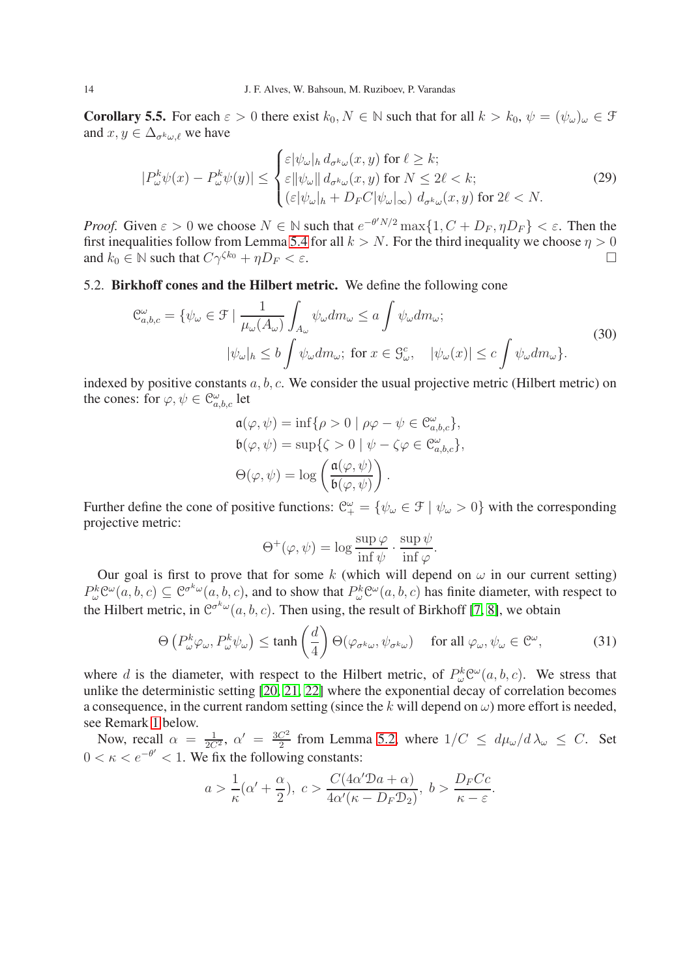<span id="page-13-1"></span>**Corollary 5.5.** For each  $\varepsilon > 0$  there exist  $k_0, N \in \mathbb{N}$  such that for all  $k > k_0$ ,  $\psi = (\psi_\omega)_\omega \in \mathcal{F}$ and  $x, y \in \Delta_{\sigma^k \omega, \ell}$  we have

<span id="page-13-0"></span>
$$
|P_{\omega}^{k}\psi(x) - P_{\omega}^{k}\psi(y)| \leq \begin{cases} \varepsilon |\psi_{\omega}|_{h} d_{\sigma^{k}\omega}(x, y) \text{ for } \ell \geq k;\\ \varepsilon ||\psi_{\omega}|| d_{\sigma^{k}\omega}(x, y) \text{ for } N \leq 2\ell < k;\\ (\varepsilon |\psi_{\omega}|_{h} + D_{F}C |\psi_{\omega}|_{\infty}) d_{\sigma^{k}\omega}(x, y) \text{ for } 2\ell < N. \end{cases}
$$
(29)

*Proof.* Given  $\varepsilon > 0$  we choose  $N \in \mathbb{N}$  such that  $e^{-\theta' N/2} \max\{1, C + D_F, \eta D_F\} < \varepsilon$ . Then the first inequalities follow from Lemma [5.4](#page-11-1) for all  $k > N$ . For the third inequality we choose  $\eta > 0$ and  $k_0 \in \mathbb{N}$  such that  $C\gamma^{\zeta k_0} + \eta D_F < \varepsilon$ .

## 5.2. Birkhoff cones and the Hilbert metric. We define the following cone

$$
\mathcal{C}_{a,b,c}^{\omega} = \{ \psi_{\omega} \in \mathcal{F} \mid \frac{1}{\mu_{\omega}(A_{\omega})} \int_{A_{\omega}} \psi_{\omega} dm_{\omega} \le a \int \psi_{\omega} dm_{\omega};
$$
\n
$$
|\psi_{\omega}|_{h} \le b \int \psi_{\omega} dm_{\omega}; \text{ for } x \in \mathcal{G}_{\omega}^{c}, \quad |\psi_{\omega}(x)| \le c \int \psi_{\omega} dm_{\omega} \}.
$$
\n(30)

indexed by positive constants  $a, b, c$ . We consider the usual projective metric (Hilbert metric) on the cones: for  $\varphi, \psi \in \mathcal{C}^{\omega}_{a,b,c}$  let

$$
\mathfrak{a}(\varphi, \psi) = \inf \{ \rho > 0 \mid \rho \varphi - \psi \in \mathfrak{C}_{a,b,c}^{\omega} \},
$$
  
\n
$$
\mathfrak{b}(\varphi, \psi) = \sup \{ \zeta > 0 \mid \psi - \zeta \varphi \in \mathfrak{C}_{a,b,c}^{\omega} \},
$$
  
\n
$$
\Theta(\varphi, \psi) = \log \left( \frac{\mathfrak{a}(\varphi, \psi)}{\mathfrak{b}(\varphi, \psi)} \right).
$$

Further define the cone of positive functions:  $\mathcal{C}^{\omega}_{+} = \{\psi_{\omega} \in \mathcal{F} \mid \psi_{\omega} > 0\}$  with the corresponding projective metric:

$$
\Theta^+(\varphi,\psi) = \log \frac{\sup \varphi}{\inf \psi} \cdot \frac{\sup \psi}{\inf \varphi}.
$$

Our goal is first to prove that for some k (which will depend on  $\omega$  in our current setting)  $P_{\omega}^{k} \mathcal{C}^{\omega}(a,b,c) \subseteq \mathcal{C}^{\sigma^{k} \omega}(a,b,c)$ , and to show that  $P_{\omega}^{k} \mathcal{C}^{\omega}(a,b,c)$  has finite diameter, with respect to the Hilbert metric, in  $\mathcal{C}^{\sigma^k \omega}(a, b, c)$ . Then using, the result of Birkhoff [\[7,](#page-23-20) [8\]](#page-23-21), we obtain

$$
\Theta\left(P_{\omega}^{k}\varphi_{\omega}, P_{\omega}^{k}\psi_{\omega}\right) \le \tanh\left(\frac{d}{4}\right)\Theta(\varphi_{\sigma^{k}\omega}, \psi_{\sigma^{k}\omega}) \quad \text{ for all } \varphi_{\omega}, \psi_{\omega} \in \mathbb{C}^{\omega},\tag{31}
$$

where d is the diameter, with respect to the Hilbert metric, of  $P^k_{\omega}C^{\omega}(a, b, c)$ . We stress that unlike the deterministic setting [\[20,](#page-23-15) [21,](#page-23-16) [22\]](#page-23-13) where the exponential decay of correlation becomes a consequence, in the current random setting (since the k will depend on  $\omega$ ) more effort is needed, see Remark [1](#page-18-1) below.

Now, recall  $\alpha = \frac{1}{2C^2}$ ,  $\alpha' = \frac{3C^2}{2}$  $\frac{C^2}{2}$  from Lemma [5.2,](#page-10-0) where  $1/C \leq d\mu_{\omega}/d\lambda_{\omega} \leq C$ . Set  $0 < \kappa < e^{-\theta'} < 1$ . We fix the following constants:

$$
a > \frac{1}{\kappa}(\alpha' + \frac{\alpha}{2}), \ c > \frac{C(4\alpha' \mathcal{D}a + \alpha)}{4\alpha'(\kappa - D_F \mathcal{D}_2)}, \ b > \frac{D_F C c}{\kappa - \varepsilon}.
$$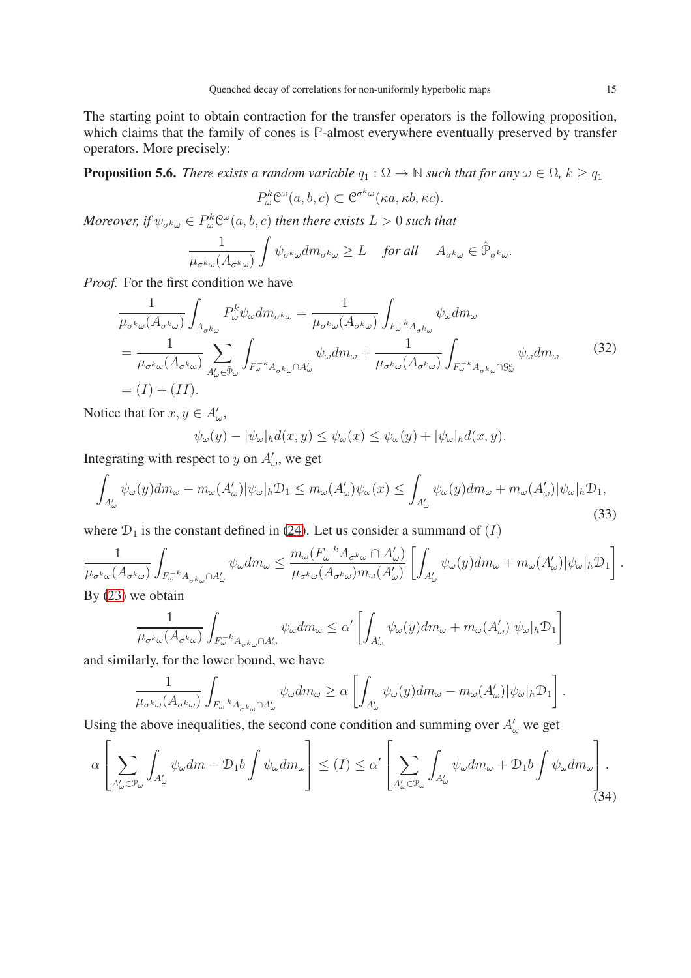The starting point to obtain contraction for the transfer operators is the following proposition, which claims that the family of cones is **P**-almost everywhere eventually preserved by transfer operators. More precisely:

<span id="page-14-0"></span>**Proposition 5.6.** *There exists a random variable*  $q_1 : \Omega \to \mathbb{N}$  *such that for any*  $\omega \in \Omega$ *,*  $k \geq q_1$ 

$$
P_{\omega}^{k} \mathcal{C}^{\omega}(a, b, c) \subset \mathcal{C}^{\sigma^{k} \omega}(\kappa a, \kappa b, \kappa c).
$$

Moreover, if  $\psi_{\sigma^k \omega} \in P^k_{\omega} \mathfrak{C}^{\omega} (a,b,c)$  then there exists  $L>0$  such that

$$
\frac{1}{\mu_{\sigma^k \omega}(A_{\sigma^k \omega})} \int \psi_{\sigma^k \omega} dm_{\sigma^k \omega} \ge L \quad \text{ for all } \quad A_{\sigma^k \omega} \in \hat{\mathcal{P}}_{\sigma^k \omega}.
$$

*Proof.* For the first condition we have

<span id="page-14-2"></span>
$$
\frac{1}{\mu_{\sigma^k \omega}(A_{\sigma^k \omega})} \int_{A_{\sigma^k \omega}} P_{\omega}^k \psi_{\omega} dm_{\sigma^k \omega} = \frac{1}{\mu_{\sigma^k \omega}(A_{\sigma^k \omega})} \int_{F_{\omega}^{-k} A_{\sigma^k \omega}} \psi_{\omega} dm_{\omega}
$$
\n
$$
= \frac{1}{\mu_{\sigma^k \omega}(A_{\sigma^k \omega})} \sum_{A_{\omega}' \in \bar{\mathcal{P}}_{\omega}} \int_{F_{\omega}^{-k} A_{\sigma^k \omega} \cap A_{\omega}'} \psi_{\omega} dm_{\omega} + \frac{1}{\mu_{\sigma^k \omega}(A_{\sigma^k \omega})} \int_{F_{\omega}^{-k} A_{\sigma^k \omega} \cap \mathcal{G}_{\omega}^c} \psi_{\omega} dm_{\omega} \tag{32}
$$
\n
$$
= (I) + (II).
$$

Notice that for  $x, y \in A'_\omega$ ,

 $\psi_{\omega}(y) - |\psi_{\omega}|_h d(x, y) \leq \psi_{\omega}(x) \leq \psi_{\omega}(y) + |\psi_{\omega}|_h d(x, y).$ 

Integrating with respect to y on  $A'_\n\omega$ , we get

<span id="page-14-3"></span>
$$
\int_{A'_{\omega}} \psi_{\omega}(y) dm_{\omega} - m_{\omega}(A'_{\omega}) |\psi_{\omega}|_{h} \mathcal{D}_{1} \leq m_{\omega}(A'_{\omega}) \psi_{\omega}(x) \leq \int_{A'_{\omega}} \psi_{\omega}(y) dm_{\omega} + m_{\omega}(A'_{\omega}) |\psi_{\omega}|_{h} \mathcal{D}_{1},
$$
\n(33)

where  $\mathcal{D}_1$  is the constant defined in [\(24\)](#page-11-2). Let us consider a summand of  $(I)$ 

$$
\frac{1}{\mu_{\sigma^k\omega}(A_{\sigma^k\omega})}\int_{F_{\omega}^{-k}A_{\sigma^k\omega}\cap A'_{\omega}}\psi_{\omega}dm_{\omega}\leq \frac{m_{\omega}(F_{\omega}^{-k}A_{\sigma^k\omega}\cap A'_{\omega})}{\mu_{\sigma^k\omega}(A_{\sigma^k\omega})m_{\omega}(A'_{\omega})}\left[\int_{A'_{\omega}}\psi_{\omega}(y)dm_{\omega}+m_{\omega}(A'_{\omega})|\psi_{\omega}|_h\mathcal{D}_1\right].
$$
  
By (23) we obtain

$$
\frac{1}{\mu_{\sigma^k\omega}(A_{\sigma^k\omega})}\int_{F_{\omega}^{-k}A_{\sigma^k\omega}\cap A_{\omega}'}\psi_{\omega}dm_{\omega}\leq \alpha'\left[\int_{A_{\omega}'}\psi_{\omega}(y)dm_{\omega}+m_{\omega}(A_{\omega}')|\psi_{\omega}|_h\mathcal{D}_1\right]
$$

and similarly, for the lower bound, we have

$$
\frac{1}{\mu_{\sigma^k \omega}(A_{\sigma^k \omega})} \int_{F_{\omega}^{-k} A_{\sigma^k \omega} \cap A_{\omega}'} \psi_{\omega} dm_{\omega} \ge \alpha \left[ \int_{A_{\omega}'} \psi_{\omega}(y) dm_{\omega} - m_{\omega}(A_{\omega}') |\psi_{\omega}|_h \mathcal{D}_1 \right]
$$

Using the above inequalities, the second cone condition and summing over  $A'_\n\omega$  we get

<span id="page-14-1"></span>
$$
\alpha \left[ \sum_{A'_{\omega} \in \bar{\mathcal{P}}_{\omega}} \int_{A'_{\omega}} \psi_{\omega} dm - \mathcal{D}_1 b \int \psi_{\omega} dm_{\omega} \right] \leq (I) \leq \alpha' \left[ \sum_{A'_{\omega} \in \bar{\mathcal{P}}_{\omega}} \int_{A'_{\omega}} \psi_{\omega} dm_{\omega} + \mathcal{D}_1 b \int \psi_{\omega} dm_{\omega} \right].
$$
\n(34)

.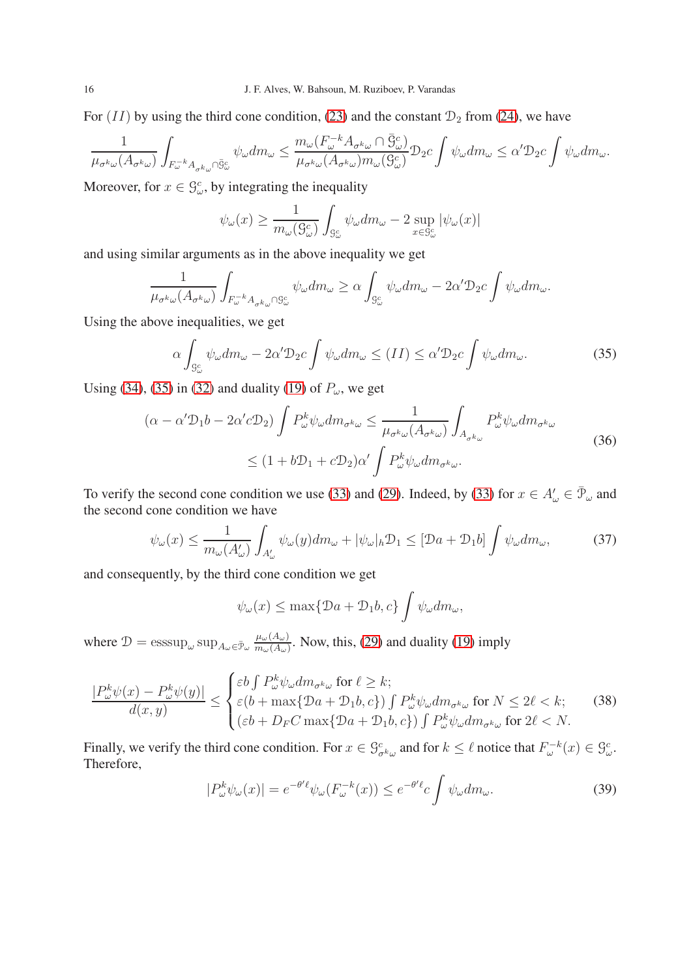For  $(II)$  by using the third cone condition, [\(23\)](#page-10-2) and the constant  $\mathcal{D}_2$  from [\(24\)](#page-11-2), we have

$$
\frac{1}{\mu_{\sigma^k\omega}(A_{\sigma^k\omega})}\int_{F_{\omega}^{-k}A_{\sigma^k\omega}\cap\bar{S}_{\omega}^c}\psi_{\omega}dm_{\omega}\leq \frac{m_{\omega}(F_{\omega}^{-k}A_{\sigma^k\omega}\cap\bar{S}_{\omega}^c)}{\mu_{\sigma^k\omega}(A_{\sigma^k\omega})m_{\omega}(S_{\omega}^c)}\mathcal{D}_2c\int \psi_{\omega}dm_{\omega}\leq \alpha'\mathcal{D}_2c\int \psi_{\omega}dm_{\omega}.
$$

Moreover, for  $x \in \mathcal{G}_{\omega}^c$ , by integrating the inequality

$$
\psi_{\omega}(x) \ge \frac{1}{m_{\omega}(9^c_{\omega})} \int_{9^c_{\omega}} \psi_{\omega} dm_{\omega} - 2 \sup_{x \in 9^c_{\omega}} |\psi_{\omega}(x)|
$$

and using similar arguments as in the above inequality we get

$$
\frac{1}{\mu_{\sigma^k \omega}(A_{\sigma^k \omega})} \int_{F_{\omega}^{-k} A_{\sigma^k \omega} \cap \mathcal{G}_{\omega}^c} \psi_{\omega} dm_{\omega} \geq \alpha \int_{\mathcal{G}_{\omega}^c} \psi_{\omega} dm_{\omega} - 2\alpha' \mathcal{D}_2 c \int \psi_{\omega} dm_{\omega}.
$$

Using the above inequalities, we get

<span id="page-15-0"></span>
$$
\alpha \int_{\mathcal{G}_{\omega}^c} \psi_{\omega} dm_{\omega} - 2\alpha' \mathcal{D}_2 c \int \psi_{\omega} dm_{\omega} \le (II) \le \alpha' \mathcal{D}_2 c \int \psi_{\omega} dm_{\omega}.
$$
 (35)

Using [\(34\)](#page-14-1), [\(35\)](#page-15-0) in [\(32\)](#page-14-2) and duality [\(19\)](#page-8-3) of  $P_\omega$ , we get

$$
(\alpha - \alpha' \mathcal{D}_1 b - 2\alpha' c \mathcal{D}_2) \int P_{\omega}^k \psi_{\omega} dm_{\sigma^k \omega} \le \frac{1}{\mu_{\sigma^k \omega}(A_{\sigma^k \omega})} \int_{A_{\sigma^k \omega}} P_{\omega}^k \psi_{\omega} dm_{\sigma^k \omega}
$$
  
 
$$
\le (1 + b\mathcal{D}_1 + c\mathcal{D}_2)\alpha' \int P_{\omega}^k \psi_{\omega} dm_{\sigma^k \omega}.
$$
 (36)

<span id="page-15-3"></span>To verify the second cone condition we use [\(33\)](#page-14-3) and [\(29\)](#page-13-0). Indeed, by [\(33\)](#page-14-3) for  $x \in A'_\omega \in \bar{\mathcal{P}}_\omega$  and the second cone condition we have

<span id="page-15-1"></span>
$$
\psi_{\omega}(x) \le \frac{1}{m_{\omega}(A_{\omega}')}\int_{A_{\omega}'}\psi_{\omega}(y)dm_{\omega} + |\psi_{\omega}|_{h}\mathcal{D}_{1} \le [\mathcal{D}a + \mathcal{D}_{1}b]\int \psi_{\omega}dm_{\omega},\tag{37}
$$

and consequently, by the third cone condition we get

$$
\psi_{\omega}(x) \le \max\{\mathcal{D}a + \mathcal{D}_1b, c\} \int \psi_{\omega} dm_{\omega},
$$

where  $\mathcal{D} = \operatorname{esssup}_{\omega} \operatorname{sup}_{A_{\omega} \in \bar{\mathcal{P}}_{\omega}} \frac{\mu_{\omega}(A_{\omega})}{m_{\omega}(A_{\omega})}$  $\frac{\mu_{\omega}(A_{\omega})}{m_{\omega}(A_{\omega})}$ . Now, this, [\(29\)](#page-13-0) and duality [\(19\)](#page-8-3) imply

<span id="page-15-2"></span>
$$
\frac{|P_{\omega}^{k}\psi(x) - P_{\omega}^{k}\psi(y)|}{d(x,y)} \leq \begin{cases} \varepsilon b \int P_{\omega}^{k}\psi_{\omega} dm_{\sigma^{k}\omega} \text{ for } \ell \geq k;\\ \varepsilon (b + \max\{Da + D_{1}b, c\}) \int P_{\omega}^{k}\psi_{\omega} dm_{\sigma^{k}\omega} \text{ for } N \leq 2\ell < k;\\ (\varepsilon b + D_{F}C \max\{Da + D_{1}b, c\}) \int P_{\omega}^{k}\psi_{\omega} dm_{\sigma^{k}\omega} \text{ for } 2\ell < N. \end{cases}
$$
(38)

Finally, we verify the third cone condition. For  $x \in \mathcal{G}^c_{\sigma^k \omega}$  and for  $k \leq \ell$  notice that  $F^{-k}_{\omega}(x) \in \mathcal{G}^c_{\omega}$ . Therefore,

$$
|P_{\omega}^{k}\psi_{\omega}(x)| = e^{-\theta' \ell}\psi_{\omega}(F_{\omega}^{-k}(x)) \le e^{-\theta' \ell} c \int \psi_{\omega} dm_{\omega}.
$$
 (39)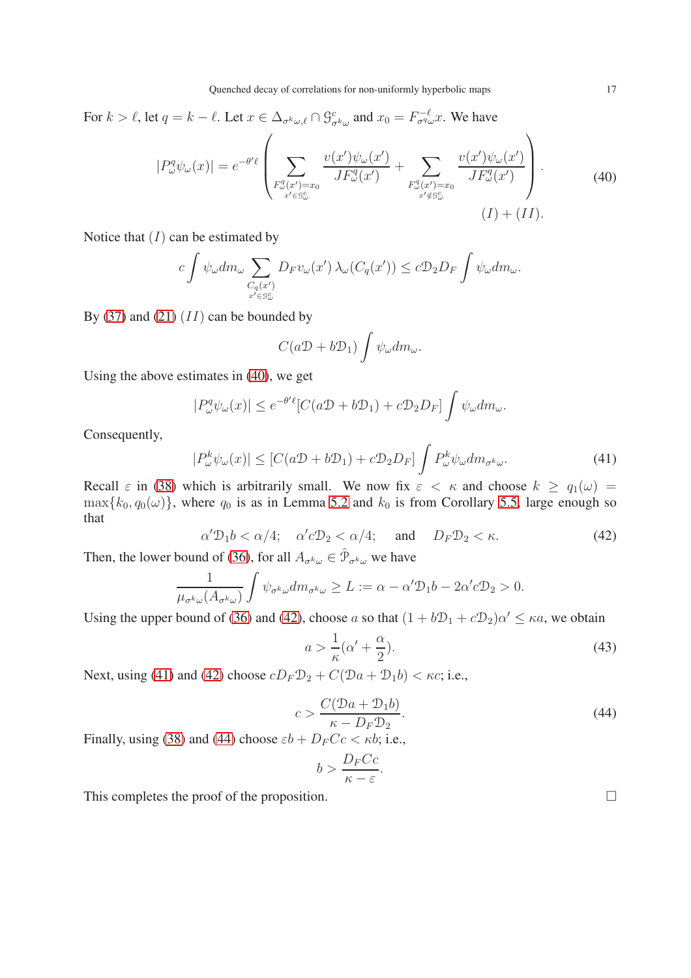For  $k > \ell$ , let  $q = k - \ell$ . Let  $x \in \Delta_{\sigma^k \omega, \ell} \cap \mathcal{G}^c_{\sigma^k \omega}$  and  $x_0 = F^{-\ell}_{\sigma^q \omega} x$ . We have

$$
|P_{\omega}^q \psi_{\omega}(x)| = e^{-\theta' \ell} \left( \sum_{\substack{F_{\omega}^q(x') = x_0 \\ x' \in S_{\omega}^c}} \frac{v(x') \psi_{\omega}(x')}{J F_{\omega}^q(x')} + \sum_{\substack{F_{\omega}^q(x') = x_0 \\ x' \notin S_{\omega}^c}} \frac{v(x') \psi_{\omega}(x')}{J F_{\omega}^q(x')} \right). \tag{40}
$$

<span id="page-16-0"></span>Notice that  $(I)$  can be estimated by

$$
c \int \psi_{\omega} dm_{\omega} \sum_{\substack{C_q(x') \\ x' \in S_{\omega}^c}} D_F v_{\omega}(x') \lambda_{\omega} (C_q(x')) \leq c \mathcal{D}_2 D_F \int \psi_{\omega} dm_{\omega}.
$$

By [\(37\)](#page-15-1) and [\(21\)](#page-9-1)  $(II)$  can be bounded by

$$
C(a\mathcal{D}+b\mathcal{D}_1)\int \psi_\omega dm_\omega.
$$

Using the above estimates in [\(40\)](#page-16-0), we get

$$
|P^q_\omega \psi_\omega(x)| \le e^{-\theta' \ell} [C(a\mathcal{D} + b\mathcal{D}_1) + c\mathcal{D}_2 D_F] \int \psi_\omega dm_\omega.
$$

Consequently,

<span id="page-16-2"></span>
$$
|P_{\omega}^{k}\psi_{\omega}(x)| \leq [C(a\mathcal{D} + b\mathcal{D}_1) + c\mathcal{D}_2D_F] \int P_{\omega}^{k}\psi_{\omega} dm_{\sigma^{k}\omega}.
$$
 (41)

Recall  $\varepsilon$  in [\(38\)](#page-15-2) which is arbitrarily small. We now fix  $\varepsilon < \kappa$  and choose  $k \ge q_1(\omega) =$  $\max\{k_0, q_0(\omega)\}\$ , where  $q_0$  is as in Lemma [5.2](#page-10-0) and  $k_0$  is from Corollary [5.5,](#page-13-1) large enough so that

<span id="page-16-1"></span>
$$
\alpha' \mathcal{D}_1 b < \alpha/4; \quad \alpha' c \mathcal{D}_2 < \alpha/4; \quad \text{and} \quad D_F \mathcal{D}_2 < \kappa. \tag{42}
$$

Then, the lower bound of [\(36\)](#page-15-3), for all  $A_{\sigma^k\omega} \in \hat{\mathcal{P}}_{\sigma^k\omega}$  we have

$$
\frac{1}{\mu_{\sigma^k \omega}(A_{\sigma^k \omega})} \int \psi_{\sigma^k \omega} dm_{\sigma^k \omega} \ge L := \alpha - \alpha' \mathcal{D}_1 b - 2\alpha' c \mathcal{D}_2 > 0.
$$

Using the upper bound of [\(36\)](#page-15-3) and [\(42\)](#page-16-1), choose a so that  $(1 + b\mathcal{D}_1 + c\mathcal{D}_2)\alpha' \leq \kappa a$ , we obtain

<span id="page-16-4"></span>
$$
a > \frac{1}{\kappa}(\alpha' + \frac{\alpha}{2}).
$$
\n(43)

Next, using [\(41\)](#page-16-2) and [\(42\)](#page-16-1) choose  $cD_F\mathcal{D}_2 + C(\mathcal{D}a + \mathcal{D}_1b) < \kappa c$ ; i.e.,

<span id="page-16-3"></span>
$$
c > \frac{C(\mathcal{D}a + \mathcal{D}_1b)}{\kappa - D_F \mathcal{D}_2}.
$$
\n(44)

Finally, using [\(38\)](#page-15-2) and [\(44\)](#page-16-3) choose  $\varepsilon b + D_F Cc < \kappa b$ ; i.e.,

$$
b > \frac{D_F C c}{\kappa - \varepsilon}.
$$

This completes the proof of the proposition.  $\Box$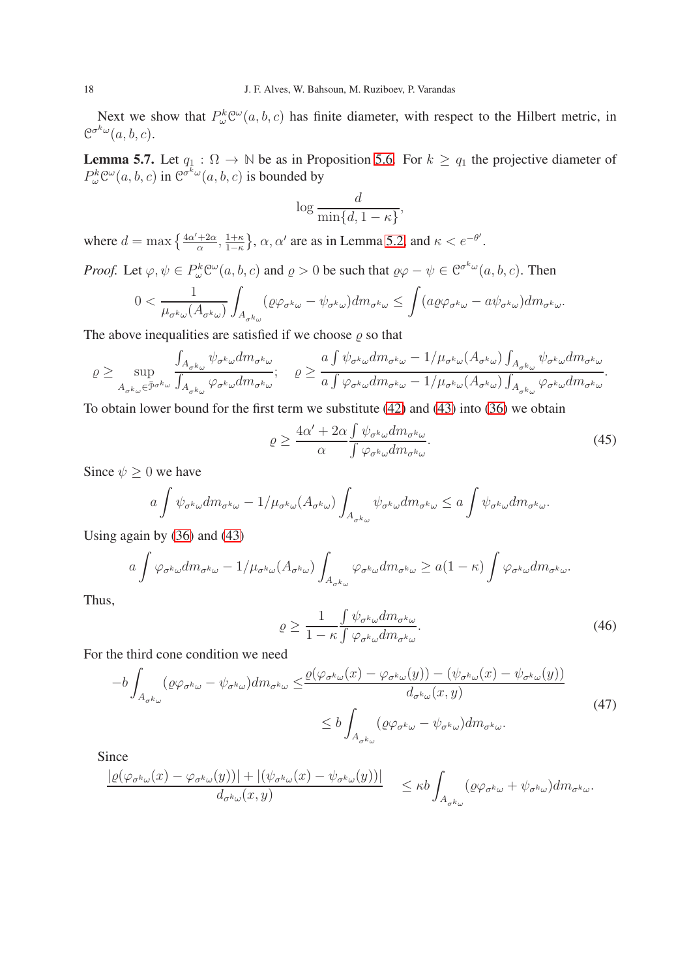Next we show that  $P_{\omega}^{k} \mathcal{C}^{\omega}(a, b, c)$  has finite diameter, with respect to the Hilbert metric, in  $\mathcal{C}^{\sigma^k \omega}(a, b, c).$ 

<span id="page-17-3"></span>**Lemma 5.7.** Let  $q_1 : \Omega \to \mathbb{N}$  be as in Proposition [5.6.](#page-14-0) For  $k \geq q_1$  the projective diameter of  $P_{\omega}^{k} \mathcal{C}^{\omega}(a, b, c)$  in  $\mathcal{C}^{\sigma^{k} \omega}(a, b, c)$  is bounded by

$$
\log \frac{d}{\min\{d, 1 - \kappa\}}
$$

,

where  $d = \max \left\{ \frac{4\alpha' + 2\alpha}{\alpha} \right\}$  $\frac{+2\alpha}{\alpha}, \frac{1+\kappa}{1-\kappa}$  $\frac{1+\kappa}{1-\kappa}$ ,  $\alpha$ ,  $\alpha'$  are as in Lemma [5.2,](#page-10-0) and  $\kappa < e^{-\theta'}$ .

*Proof.* Let  $\varphi, \psi \in P_{\omega}^{k} \mathcal{C}^{\omega}(a, b, c)$  and  $\rho > 0$  be such that  $\rho \varphi - \psi \in \mathcal{C}^{\sigma^{k} \omega}(a, b, c)$ . Then

$$
0 < \frac{1}{\mu_{\sigma^k \omega}(A_{\sigma^k \omega})} \int_{A_{\sigma^k \omega}} (\varrho \varphi_{\sigma^k \omega} - \psi_{\sigma^k \omega}) dm_{\sigma^k \omega} \le \int (a \varrho \varphi_{\sigma^k \omega} - a \psi_{\sigma^k \omega}) dm_{\sigma^k \omega}.
$$

The above inequalities are satisfied if we choose  $\rho$  so that

$$
\varrho \geq \sup_{A_{\sigma^k \omega} \in \bar{\mathcal{P}}^{\sigma^k \omega}} \frac{\int_{A_{\sigma^k \omega}} \psi_{\sigma^k \omega} dm_{\sigma^k \omega}}{\int_{A_{\sigma^k \omega}} \varphi_{\sigma^k \omega} dm_{\sigma^k \omega}}; \quad \varrho \geq \frac{a \int \psi_{\sigma^k \omega} dm_{\sigma^k \omega} - 1/\mu_{\sigma^k \omega} (A_{\sigma^k \omega}) \int_{A_{\sigma^k \omega}} \psi_{\sigma^k \omega} dm_{\sigma^k \omega}}{\alpha \int \varphi_{\sigma^k \omega} dm_{\sigma^k \omega} - 1/\mu_{\sigma^k \omega} (A_{\sigma^k \omega}) \int_{A_{\sigma^k \omega}} \varphi_{\sigma^k \omega} dm_{\sigma^k \omega}}.
$$

To obtain lower bound for the first term we substitute [\(42\)](#page-16-1) and [\(43\)](#page-16-4) into [\(36\)](#page-15-3) we obtain

<span id="page-17-1"></span>
$$
\varrho \ge \frac{4\alpha' + 2\alpha \int \psi_{\sigma^k \omega} dm_{\sigma^k \omega}}{\int \varphi_{\sigma^k \omega} dm_{\sigma^k \omega}}.
$$
\n(45)

Since  $\psi \geq 0$  we have

$$
a\int \psi_{\sigma^k\omega} dm_{\sigma^k\omega} - 1/\mu_{\sigma^k\omega}(A_{\sigma^k\omega}) \int_{A_{\sigma^k\omega}} \psi_{\sigma^k\omega} dm_{\sigma^k\omega} \le a\int \psi_{\sigma^k\omega} dm_{\sigma^k\omega}.
$$

Using again by [\(36\)](#page-15-3) and [\(43\)](#page-16-4)

$$
a\int \varphi_{\sigma^k\omega} dm_{\sigma^k\omega} - 1/\mu_{\sigma^k\omega}(A_{\sigma^k\omega}) \int_{A_{\sigma^k\omega}} \varphi_{\sigma^k\omega} dm_{\sigma^k\omega} \ge a(1-\kappa) \int \varphi_{\sigma^k\omega} dm_{\sigma^k\omega}.
$$

Thus,

<span id="page-17-2"></span>
$$
\varrho \ge \frac{1}{1 - \kappa} \frac{\int \psi_{\sigma^k \omega} dm_{\sigma^k \omega}}{\int \varphi_{\sigma^k \omega} dm_{\sigma^k \omega}}.
$$
\n(46)

For the third cone condition we need

<span id="page-17-0"></span>
$$
-b\int_{A_{\sigma^{k}\omega}} (\varrho\varphi_{\sigma^{k}\omega} - \psi_{\sigma^{k}\omega}) dm_{\sigma^{k}\omega} \leq \frac{\varrho(\varphi_{\sigma^{k}\omega}(x) - \varphi_{\sigma^{k}\omega}(y)) - (\psi_{\sigma^{k}\omega}(x) - \psi_{\sigma^{k}\omega}(y))}{d_{\sigma^{k}\omega}(x, y)} \leq b\int_{A_{\sigma^{k}\omega}} (\varrho\varphi_{\sigma^{k}\omega} - \psi_{\sigma^{k}\omega}) dm_{\sigma^{k}\omega}.
$$
\n(47)

Since

$$
\frac{|\varrho(\varphi_{\sigma^k\omega}(x)-\varphi_{\sigma^k\omega}(y))|+|(\psi_{\sigma^k\omega}(x)-\psi_{\sigma^k\omega}(y))|}{d_{\sigma^k\omega}(x,y)}\quad \leq \kappa b \int_{A_{\sigma^k\omega}} (\varrho\varphi_{\sigma^k\omega}+\psi_{\sigma^k\omega}) dm_{\sigma^k\omega}.
$$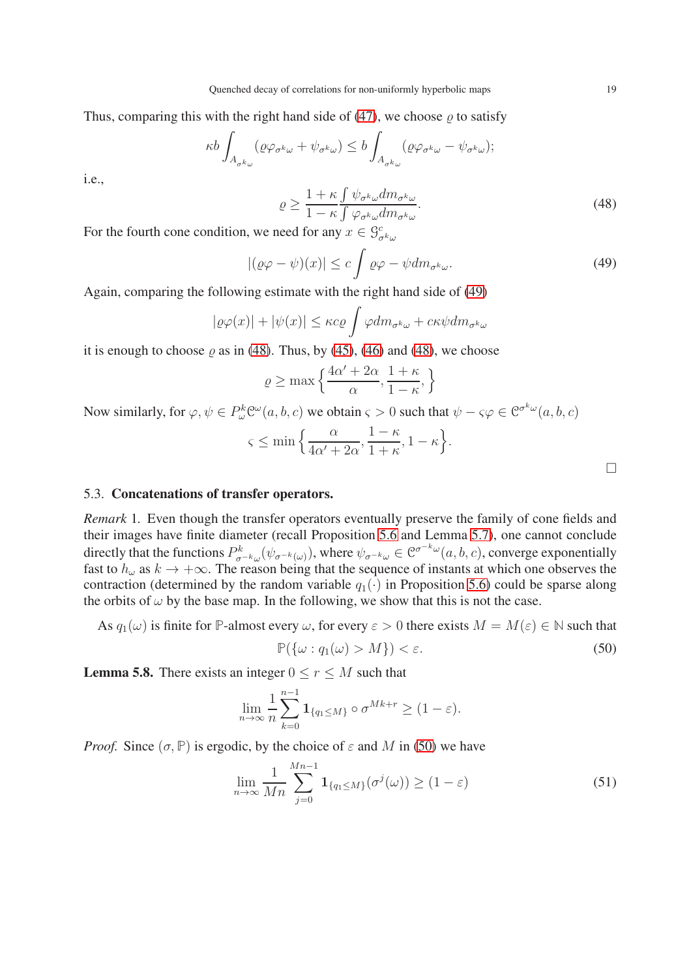Thus, comparing this with the right hand side of [\(47\)](#page-17-0), we choose  $\rho$  to satisfy

$$
\kappa b \int_{A_{\sigma^k \omega}} (\varrho \varphi_{\sigma^k \omega} + \psi_{\sigma^k \omega}) \le b \int_{A_{\sigma^k \omega}} (\varrho \varphi_{\sigma^k \omega} - \psi_{\sigma^k \omega});
$$

i.e.,

<span id="page-18-3"></span>
$$
\varrho \ge \frac{1+\kappa \int \psi_{\sigma^k \omega} dm_{\sigma^k \omega}}{1-\kappa \int \varphi_{\sigma^k \omega} dm_{\sigma^k \omega}}.
$$
\n(48)

For the fourth cone condition, we need for any  $x \in \mathcal{G}^c_{\sigma^k \omega}$ 

<span id="page-18-2"></span>
$$
|(\varrho\varphi - \psi)(x)| \le c \int \varrho\varphi - \psi dm_{\sigma^k\omega}.
$$
 (49)

Again, comparing the following estimate with the right hand side of [\(49\)](#page-18-2)

$$
|\varrho\varphi(x)| + |\psi(x)| \le \kappa c \varrho \int \varphi dm_{\sigma^k \omega} + c\kappa \psi dm_{\sigma^k \omega}
$$

it is enough to choose  $\rho$  as in [\(48\)](#page-18-3). Thus, by [\(45\)](#page-17-1), [\(46\)](#page-17-2) and [\(48\)](#page-18-3), we choose

$$
\varrho \ge \max\left\{\frac{4\alpha'+2\alpha}{\alpha}, \frac{1+\kappa}{1-\kappa}, \right\}
$$

Now similarly, for  $\varphi, \psi \in P_{\omega}^{k} \mathcal{C}^{\omega}(a, b, c)$  we obtain  $\varsigma > 0$  such that  $\psi - \varsigma \varphi \in \mathcal{C}^{\sigma^{k} \omega}(a, b, c)$ 

$$
\varsigma \le \min\left\{\frac{\alpha}{4\alpha' + 2\alpha}, \frac{1-\kappa}{1+\kappa}, 1-\kappa\right\}.
$$

### 5.3. Concatenations of transfer operators.

<span id="page-18-1"></span>*Remark* 1*.* Even though the transfer operators eventually preserve the family of cone fields and their images have finite diameter (recall Proposition [5.6](#page-14-0) and Lemma [5.7\)](#page-17-3), one cannot conclude directly that the functions  $P^k_{\sigma^{-k}\omega}(\psi_{\sigma^{-k}(\omega)})$ , where  $\psi_{\sigma^{-k}\omega} \in \mathcal{C}^{\sigma^{-k}\omega}(a, b, c)$ , converge exponentially fast to  $h_{\omega}$  as  $k \to +\infty$ . The reason being that the sequence of instants at which one observes the contraction (determined by the random variable  $q_1(\cdot)$  in Proposition [5.6\)](#page-14-0) could be sparse along the orbits of  $\omega$  by the base map. In the following, we show that this is not the case.

As 
$$
q_1(\omega)
$$
 is finite for P-almost every  $\omega$ , for every  $\varepsilon > 0$  there exists  $M = M(\varepsilon) \in \mathbb{N}$  such that

<span id="page-18-4"></span>
$$
\mathbb{P}(\{\omega : q_1(\omega) > M\}) < \varepsilon. \tag{50}
$$

<span id="page-18-0"></span>**Lemma 5.8.** There exists an integer  $0 \le r \le M$  such that

$$
\lim_{n\to\infty}\frac{1}{n}\sum_{k=0}^{n-1}\mathbf{1}_{\{q_1\leq M\}}\circ\sigma^{Mk+r}\geq(1-\varepsilon).
$$

*Proof.* Since  $(\sigma, \mathbb{P})$  is ergodic, by the choice of  $\varepsilon$  and M in [\(50\)](#page-18-4) we have

$$
\lim_{n \to \infty} \frac{1}{Mn} \sum_{j=0}^{Mn-1} \mathbf{1}_{\{q_1 \le M\}}(\sigma^j(\omega)) \ge (1 - \varepsilon)
$$
\n(51)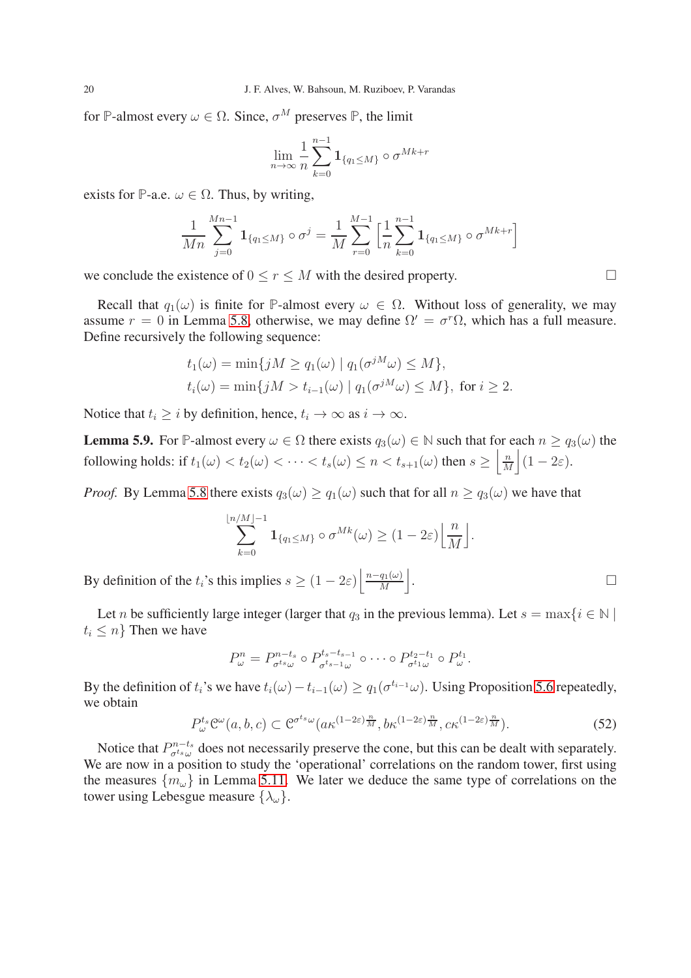for **P**-almost every  $\omega \in \Omega$ . Since,  $\sigma^M$  preserves **P**, the limit

$$
\lim_{n\to\infty}\frac{1}{n}\sum_{k=0}^{n-1}\mathbf{1}_{\{q_1\leq M\}}\circ\sigma^{Mk+r}
$$

exists for **P**-a.e.  $\omega \in \Omega$ . Thus, by writing,

$$
\frac{1}{Mn} \sum_{j=0}^{Mn-1} \mathbf{1}_{\{q_1 \le M\}} \circ \sigma^j = \frac{1}{M} \sum_{r=0}^{M-1} \left[ \frac{1}{n} \sum_{k=0}^{n-1} \mathbf{1}_{\{q_1 \le M\}} \circ \sigma^{Mk+r} \right]
$$

we conclude the existence of  $0 \le r \le M$  with the desired property.

Recall that  $q_1(\omega)$  is finite for **P**-almost every  $\omega \in \Omega$ . Without loss of generality, we may assume  $r = 0$  in Lemma [5.8,](#page-18-0) otherwise, we may define  $\Omega' = \sigma^r \Omega$ , which has a full measure. Define recursively the following sequence:

$$
t_1(\omega) = \min\{jM \ge q_1(\omega) \mid q_1(\sigma^{jM}\omega) \le M\},
$$
  

$$
t_i(\omega) = \min\{jM > t_{i-1}(\omega) \mid q_1(\sigma^{jM}\omega) \le M\}, \text{ for } i \ge 2.
$$

Notice that  $t_i > i$  by definition, hence,  $t_i \rightarrow \infty$  as  $i \rightarrow \infty$ .

<span id="page-19-0"></span>**Lemma 5.9.** For **P**-almost every  $\omega \in \Omega$  there exists  $q_3(\omega) \in \mathbb{N}$  such that for each  $n \geq q_3(\omega)$  the following holds: if  $t_1(\omega) < t_2(\omega) < \cdots < t_s(\omega) \leq n < t_{s+1}(\omega)$  then  $s \geq \left\lfloor \frac{n}{M} \right\rfloor$  $\frac{n}{M}\Big| (1-2\varepsilon).$ 

*Proof.* By Lemma [5.8](#page-18-0) there exists  $q_3(\omega) \ge q_1(\omega)$  such that for all  $n \ge q_3(\omega)$  we have that

$$
\sum_{k=0}^{\lfloor n/M \rfloor -1} \mathbf{1}_{\{q_1 \le M\}} \circ \sigma^{Mk}(\omega) \ge (1 - 2\varepsilon) \left\lfloor \frac{n}{M} \right\rfloor.
$$

By definition of the  $t_i$ 's this implies  $s \geq (1 - 2\varepsilon) \left| \frac{n - q_1(\omega)}{M} \right|$  $\frac{q_1(\omega)}{M}$ . В последните последните под на приема на селото на селото на селото на селото на селото на селото на селото<br>В селото на селото на селото на селото на селото на селото на селото на селото на селото на селото на селото н

Let n be sufficiently large integer (larger that  $q_3$  in the previous lemma). Let  $s = \max\{i \in \mathbb{N} \mid \mathcal{A}_i\}$  $t_i \leq n$  Then we have

$$
P_{\omega}^n = P_{\sigma^{t_s}\omega}^{n-t_s} \circ P_{\sigma^{t_s-t_s}\omega}^{t_s-t_{s-1}} \circ \cdots \circ P_{\sigma^{t_1}\omega}^{t_2-t_1} \circ P_{\omega}^{t_1}.
$$

By the definition of  $t_i$ 's we have  $t_i(\omega) - t_{i-1}(\omega) \ge q_1(\sigma^{t_{i-1}}\omega)$ . Using Proposition [5.6](#page-14-0) repeatedly, we obtain

<span id="page-19-1"></span>
$$
P_{\omega}^{t_s} \mathcal{C}^{\omega}(a, b, c) \subset \mathcal{C}^{\sigma^{t_s} \omega}(a \kappa^{(1-2\varepsilon)\frac{n}{M}}, b \kappa^{(1-2\varepsilon)\frac{n}{M}}, c \kappa^{(1-2\varepsilon)\frac{n}{M}}). \tag{52}
$$

Notice that  $P_{\sigma^{t_s}(\mu)}^{n-t_s}$  $C_{\sigma^{t_s}\omega}^{n-t_s}$  does not necessarily preserve the cone, but this can be dealt with separately. We are now in a position to study the 'operational' correlations on the random tower, first using the measures  $\{m_\omega\}$  in Lemma [5.11.](#page-20-0) We later we deduce the same type of correlations on the tower using Lebesgue measure  $\{\lambda_{\omega}\}.$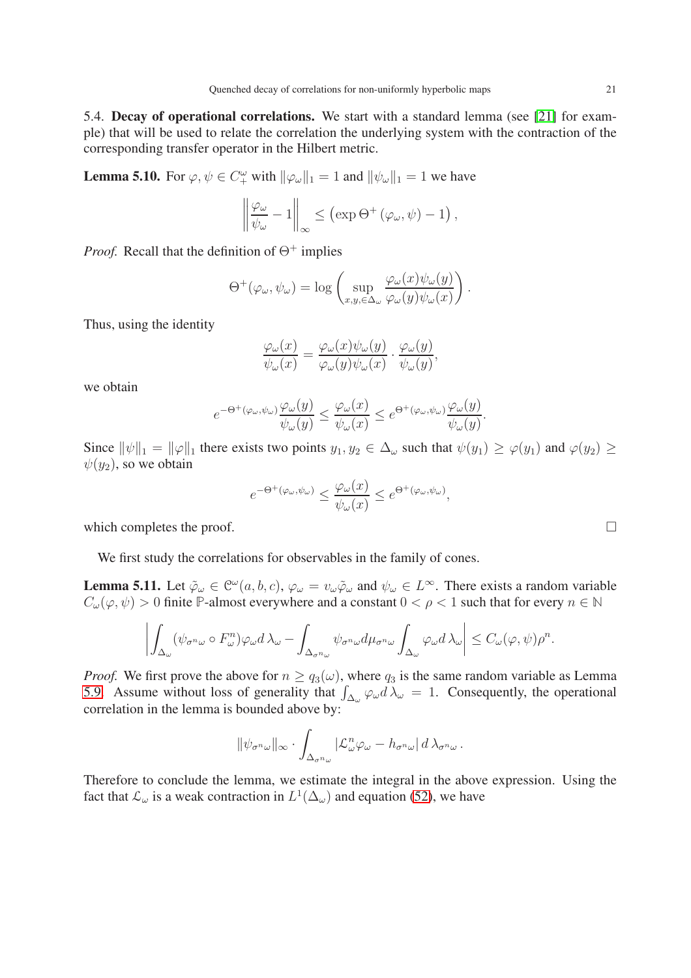5.4. Decay of operational correlations. We start with a standard lemma (see [\[21\]](#page-23-16) for example) that will be used to relate the correlation the underlying system with the contraction of the corresponding transfer operator in the Hilbert metric.

<span id="page-20-1"></span>**Lemma 5.10.** For  $\varphi, \psi \in C_+^{\omega}$  with  $\|\varphi_{\omega}\|_1 = 1$  and  $\|\psi_{\omega}\|_1 = 1$  we have

$$
\left\|\frac{\varphi_{\omega}}{\psi_{\omega}}-1\right\|_{\infty}\leq\left(\exp\Theta^{+}\left(\varphi_{\omega},\psi\right)-1\right),\,
$$

*Proof.* Recall that the definition of  $\Theta^+$  implies

$$
\Theta^+(\varphi_\omega, \psi_\omega) = \log \left( \sup_{x,y,\in \Delta_\omega} \frac{\varphi_\omega(x)\psi_\omega(y)}{\varphi_\omega(y)\psi_\omega(x)} \right).
$$

Thus, using the identity

$$
\frac{\varphi_{\omega}(x)}{\psi_{\omega}(x)} = \frac{\varphi_{\omega}(x)\psi_{\omega}(y)}{\varphi_{\omega}(y)\psi_{\omega}(x)} \cdot \frac{\varphi_{\omega}(y)}{\psi_{\omega}(y)},
$$

we obtain

$$
e^{-\Theta^+(\varphi_\omega, \psi_\omega)} \frac{\varphi_\omega(y)}{\psi_\omega(y)} \leq \frac{\varphi_\omega(x)}{\psi_\omega(x)} \leq e^{\Theta^+(\varphi_\omega, \psi_\omega)} \frac{\varphi_\omega(y)}{\psi_\omega(y)}.
$$

Since  $\|\psi\|_1 = \|\varphi\|_1$  there exists two points  $y_1, y_2 \in \Delta_\omega$  such that  $\psi(y_1) \geq \varphi(y_1)$  and  $\varphi(y_2) \geq \varphi(y_2)$  $\psi(y_2)$ , so we obtain

$$
e^{-\Theta^+(\varphi_\omega, \psi_\omega)} \leq \frac{\varphi_\omega(x)}{\psi_\omega(x)} \leq e^{\Theta^+(\varphi_\omega, \psi_\omega)},
$$

which completes the proof.  $\Box$ 

We first study the correlations for observables in the family of cones.

<span id="page-20-0"></span>**Lemma 5.11.** Let  $\tilde{\varphi}_{\omega} \in C^{\omega}(a, b, c), \varphi_{\omega} = v_{\omega} \tilde{\varphi}_{\omega}$  and  $\psi_{\omega} \in L^{\infty}$ . There exists a random variable  $C_{\omega}(\varphi, \psi) > 0$  finite **P**-almost everywhere and a constant  $0 < \rho < 1$  such that for every  $n \in \mathbb{N}$ 

$$
\left| \int_{\Delta_{\omega}} (\psi_{\sigma^n \omega} \circ F_{\omega}^n) \varphi_{\omega} d \lambda_{\omega} - \int_{\Delta_{\sigma^n \omega}} \psi_{\sigma^n \omega} d\mu_{\sigma^n \omega} \int_{\Delta_{\omega}} \varphi_{\omega} d \lambda_{\omega} \right| \leq C_{\omega}(\varphi, \psi) \rho^n.
$$

*Proof.* We first prove the above for  $n \geq q_3(\omega)$ , where  $q_3$  is the same random variable as Lemma [5.9.](#page-19-0) Assume without loss of generality that  $\int_{\Delta_\omega} \varphi_\omega d\lambda_\omega = 1$ . Consequently, the operational correlation in the lemma is bounded above by:

$$
\|\psi_{\sigma^n\omega}\|_{\infty} \cdot \int_{\Delta_{\sigma^n\omega}} |\mathcal{L}_{\omega}^n\varphi_{\omega} - h_{\sigma^n\omega}| d\lambda_{\sigma^n\omega}.
$$

Therefore to conclude the lemma, we estimate the integral in the above expression. Using the fact that  $\mathcal{L}_{\omega}$  is a weak contraction in  $L^1(\Delta_{\omega})$  and equation [\(52\)](#page-19-1), we have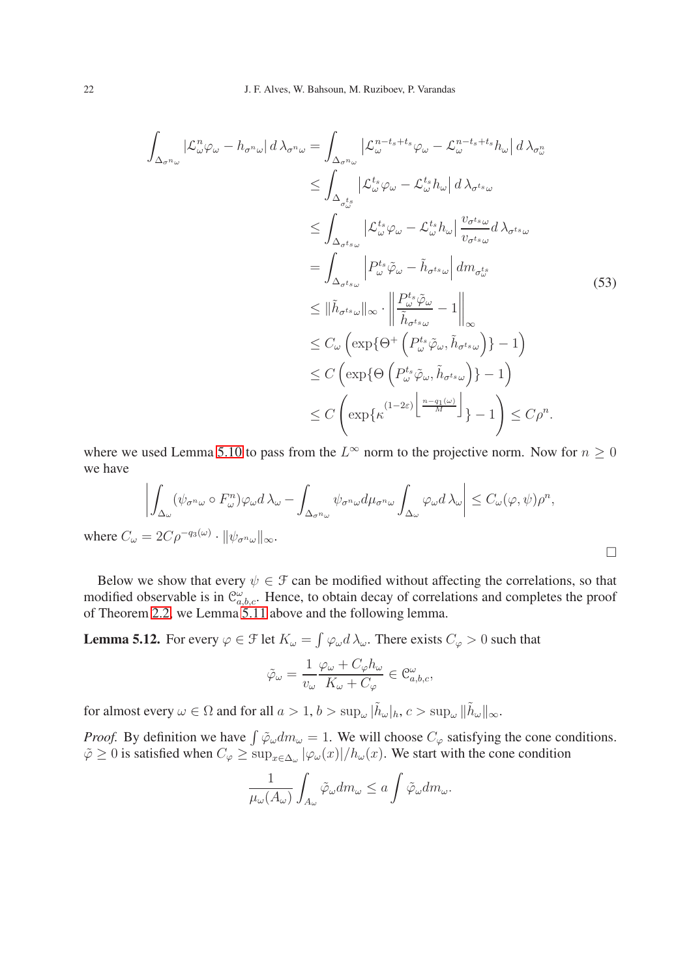$$
\int_{\Delta_{\sigma^{n_{\omega}}}} |\mathcal{L}_{\omega}^{n} \varphi_{\omega} - h_{\sigma^{n_{\omega}}}| d \lambda_{\sigma^{n_{\omega}}} = \int_{\Delta_{\sigma^{n_{\omega}}}} |\mathcal{L}_{\omega}^{n-t_{s}+t_{s}} \varphi_{\omega} - \mathcal{L}_{\omega}^{n-t_{s}+t_{s}} h_{\omega}| d \lambda_{\sigma_{\omega}^{n}} \n\leq \int_{\Delta_{\sigma_{\omega}^{t_{s}}}} |\mathcal{L}_{\omega}^{t_{s}} \varphi_{\omega} - \mathcal{L}_{\omega}^{t_{s}} h_{\omega}| d \lambda_{\sigma^{t_{s}} \omega} \n\leq \int_{\Delta_{\sigma^{t_{s}} \omega}} |\mathcal{L}_{\omega}^{t_{s}} \varphi_{\omega} - \mathcal{L}_{\omega}^{t_{s}} h_{\omega}| \frac{v_{\sigma^{t_{s}} \omega}}{v_{\sigma^{t_{s}} \omega}} d \lambda_{\sigma^{t_{s}} \omega} \n= \int_{\Delta_{\sigma^{t_{s}} \omega}} |P_{\omega}^{t_{s}} \varphi_{\omega} - \tilde{h}_{\sigma^{t_{s}} \omega}| dm_{\sigma_{\omega}^{t_{s}}^{t_{s}}} \n\leq ||\tilde{h}_{\sigma^{t_{s}} \omega}||_{\infty} \cdot \left\| \frac{P_{\omega}^{t_{s}} \tilde{\varphi}_{\omega}}{\tilde{h}_{\sigma^{t_{s}} \omega}} - 1 \right\|_{\infty} \n\leq C_{\omega} \left( \exp \{ \Theta^{+} \left( P_{\omega}^{t_{s}} \tilde{\varphi}_{\omega}, \tilde{h}_{\sigma^{t_{s}} \omega} \right) \} - 1 \right) \n\leq C \left( \exp \{ \Theta \left( P_{\omega}^{t_{s}} \tilde{\varphi}_{\omega}, \tilde{h}_{\sigma^{t_{s}} \omega} \right) \} - 1 \right) \n\leq C \left( \exp \{ \kappa^{(1-2\varepsilon)} \left[ \frac{n - q_{1}(\omega)}{M} \right] \} - 1 \right) \leq C \rho^{n}.
$$

where we used Lemma [5.10](#page-20-1) to pass from the  $L^{\infty}$  norm to the projective norm. Now for  $n \geq 0$ we have

$$
\left| \int_{\Delta_{\omega}} (\psi_{\sigma^n \omega} \circ F_{\omega}^n) \varphi_{\omega} d \lambda_{\omega} - \int_{\Delta_{\sigma^n \omega}} \psi_{\sigma^n \omega} d\mu_{\sigma^n \omega} \int_{\Delta_{\omega}} \varphi_{\omega} d \lambda_{\omega} \right| \leq C_{\omega}(\varphi, \psi) \rho^n,
$$
  
where  $C_{\omega} = 2C \rho^{-q_3(\omega)} \cdot ||\psi_{\sigma^n \omega}||_{\infty}.$ 

Below we show that every  $\psi \in \mathcal{F}$  can be modified without affecting the correlations, so that modified observable is in  $\mathcal{C}^{\omega}_{a,b,c}$ . Hence, to obtain decay of correlations and completes the proof of Theorem [2.2,](#page-4-0) we Lemma [5.11](#page-20-0) above and the following lemma.

**Lemma 5.12.** For every  $\varphi \in \mathcal{F}$  let  $K_{\omega} = \int \varphi_{\omega} d \lambda_{\omega}$ . There exists  $C_{\varphi} > 0$  such that

$$
\tilde{\varphi}_{\omega}=\frac{1}{v_{\omega}}\frac{\varphi_{\omega}+C_{\varphi}h_{\omega}}{K_{\omega}+C_{\varphi}}\in \mathfrak{C}^{\omega}_{a,b,c},
$$

for almost every  $\omega \in \Omega$  and for all  $a > 1$ ,  $b > \sup_{\omega} |\tilde{h}_{\omega}|_h$ ,  $c > \sup_{\omega} ||\tilde{h}_{\omega}||_{\infty}$ .

*Proof.* By definition we have  $\int \tilde{\varphi}_{\omega} dm_{\omega} = 1$ . We will choose  $C_{\varphi}$  satisfying the cone conditions.  $\tilde{\varphi} \ge 0$  is satisfied when  $C_{\varphi} \ge \sup_{x \in \Delta_{\omega}} |\varphi_{\omega}(x)| / h_{\omega}(x)$ . We start with the cone condition

$$
\frac{1}{\mu_{\omega}(A_{\omega})} \int_{A_{\omega}} \tilde{\varphi}_{\omega} dm_{\omega} \le a \int \tilde{\varphi}_{\omega} dm_{\omega}.
$$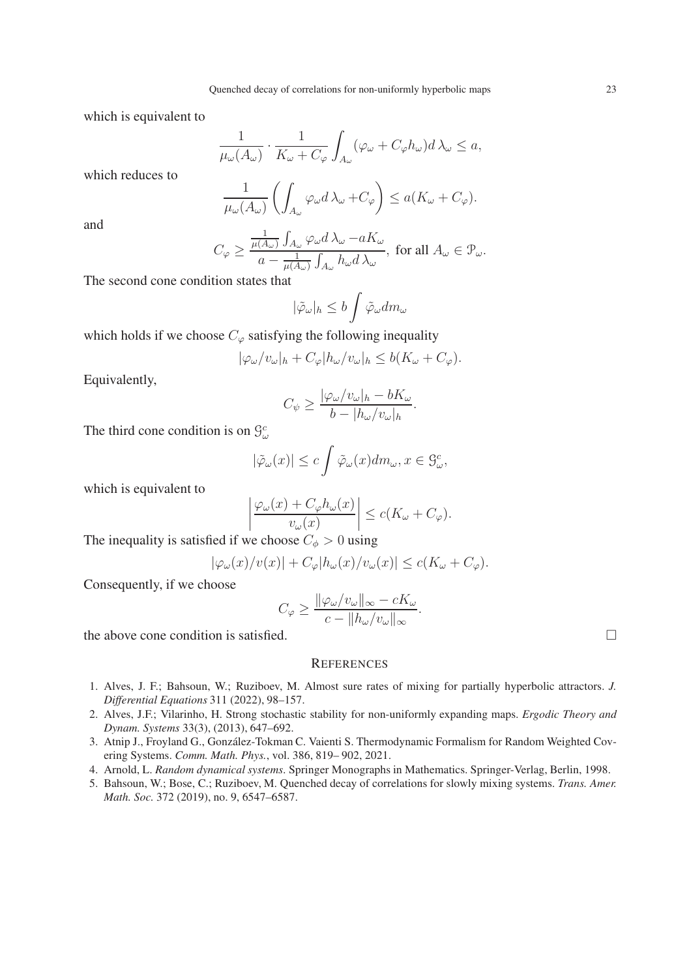which is equivalent to

$$
\frac{1}{\mu_{\omega}(A_{\omega})} \cdot \frac{1}{K_{\omega} + C_{\varphi}} \int_{A_{\omega}} (\varphi_{\omega} + C_{\varphi} h_{\omega}) d\lambda_{\omega} \le a,
$$

which reduces to

$$
\frac{1}{\mu_{\omega}(A_{\omega})} \left( \int_{A_{\omega}} \varphi_{\omega} d\lambda_{\omega} + C_{\varphi} \right) \le a(K_{\omega} + C_{\varphi}).
$$

and

$$
C_{\varphi} \ge \frac{\frac{1}{\mu(A_{\omega})} \int_{A_{\omega}} \varphi_{\omega} d\lambda_{\omega} - aK_{\omega}}{a - \frac{1}{\mu(A_{\omega})} \int_{A_{\omega}} h_{\omega} d\lambda_{\omega}}, \text{ for all } A_{\omega} \in \mathcal{P}_{\omega}.
$$

The second cone condition states that

$$
|\tilde{\varphi}_{\omega}|_h \le b \int \tilde{\varphi}_{\omega} dm_{\omega}
$$

which holds if we choose  $C_{\varphi}$  satisfying the following inequality

$$
|\varphi_{\omega}/v_{\omega}|_{h} + C_{\varphi}|h_{\omega}/v_{\omega}|_{h} \leq b(K_{\omega} + C_{\varphi}).
$$

Equivalently,

$$
C_{\psi} \ge \frac{|\varphi_{\omega}/v_{\omega}|_{h} - bK_{\omega}}{b - |h_{\omega}/v_{\omega}|_{h}}.
$$

The third cone condition is on  $\mathcal{G}^c_\omega$ 

$$
|\tilde{\varphi}_{\omega}(x)| \leq c \int \tilde{\varphi}_{\omega}(x) dm_{\omega}, x \in \mathcal{G}_{\omega}^{c},
$$

which is equivalent to

$$
\left| \frac{\varphi_{\omega}(x) + C_{\varphi} h_{\omega}(x)}{v_{\omega}(x)} \right| \le c(K_{\omega} + C_{\varphi}).
$$

The inequality is satisfied if we choose  $C_{\phi} > 0$  using

$$
|\varphi_{\omega}(x)/v(x)| + C_{\varphi}|h_{\omega}(x)/v_{\omega}(x)| \leq c(K_{\omega} + C_{\varphi}).
$$

Consequently, if we choose

$$
C_{\varphi} \ge \frac{\|\varphi_{\omega}/v_{\omega}\|_{\infty} - cK_{\omega}}{c - \|h_{\omega}/v_{\omega}\|_{\infty}}.
$$

the above cone condition is satisfied.

#### **REFERENCES**

- <span id="page-22-1"></span>1. Alves, J. F.; Bahsoun, W.; Ruziboev, M. Almost sure rates of mixing for partially hyperbolic attractors. *J. Differential Equations* 311 (2022), 98–157.
- <span id="page-22-4"></span>2. Alves, J.F.; Vilarinho, H. Strong stochastic stability for non-uniformly expanding maps. *Ergodic Theory and Dynam. Systems* 33(3), (2013), 647–692.
- <span id="page-22-2"></span>3. Atnip J., Froyland G., González-Tokman C. Vaienti S. Thermodynamic Formalism for Random Weighted Covering Systems. *Comm. Math. Phys.*, vol. 386, 819– 902, 2021.
- <span id="page-22-3"></span><span id="page-22-0"></span>4. Arnold, L. *Random dynamical systems*. Springer Monographs in Mathematics. Springer-Verlag, Berlin, 1998.
- 5. Bahsoun, W.; Bose, C.; Ruziboev, M. Quenched decay of correlations for slowly mixing systems. *Trans. Amer. Math. Soc.* 372 (2019), no. 9, 6547–6587.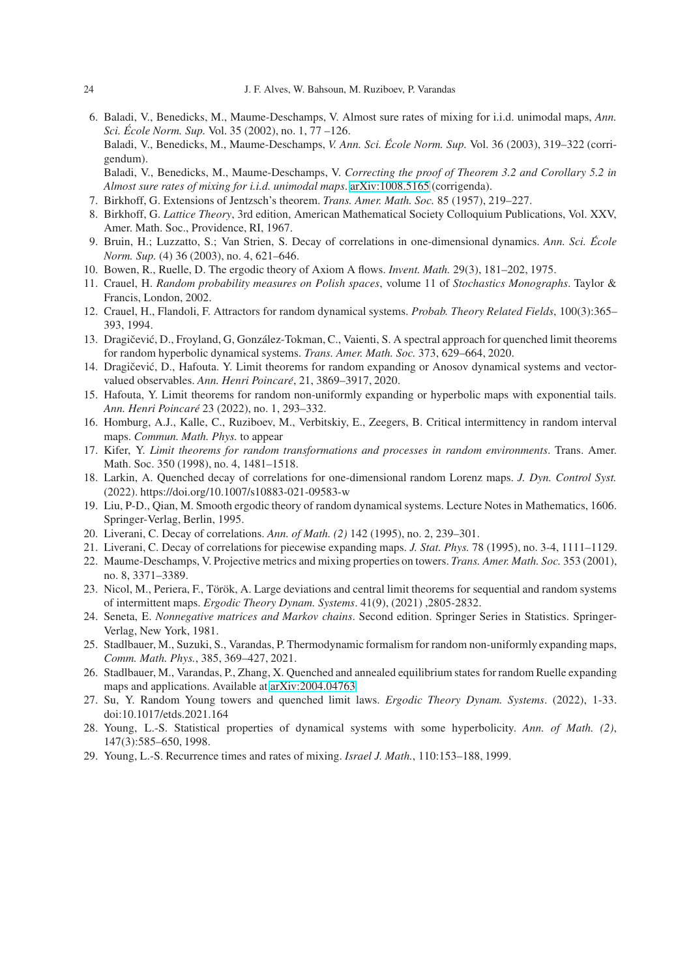- <span id="page-23-2"></span>6. Baladi, V., Benedicks, M., Maume-Deschamps, V. Almost sure rates of mixing for i.i.d. unimodal maps, *Ann. Sci. Ecole Norm. Sup. ´* Vol. 35 (2002), no. 1, 77 –126. Baladi, V., Benedicks, M., Maume-Deschamps, *V. Ann. Sci. Ecole Norm. Sup. ´* Vol. 36 (2003), 319–322 (corrigendum). Baladi, V., Benedicks, M., Maume-Deschamps, V. *Correcting the proof of Theorem 3.2 and Corollary 5.2 in Almost sure rates of mixing for i.i.d. unimodal maps*. [arXiv:1008.5165](http://arxiv.org/abs/1008.5165) (corrigenda).
- <span id="page-23-21"></span><span id="page-23-20"></span>7. Birkhoff, G. Extensions of Jentzsch's theorem. *Trans. Amer. Math. Soc.* 85 (1957), 219–227.
- <span id="page-23-22"></span>8. Birkhoff, G. *Lattice Theory*, 3rd edition, American Mathematical Society Colloquium Publications, Vol. XXV, Amer. Math. Soc., Providence, RI, 1967.
- <span id="page-23-19"></span>9. Bruin, H.; Luzzatto, S.; Van Strien, S. Decay of correlations in one-dimensional dynamics. *Ann. Sci. Ecole ´ Norm. Sup.* (4) 36 (2003), no. 4, 621–646.
- <span id="page-23-17"></span>10. Bowen, R., Ruelle, D. The ergodic theory of Axiom A flows. *Invent. Math.* 29(3), 181–202, 1975.
- 11. Crauel, H. *Random probability measures on Polish spaces*, volume 11 of *Stochastics Monographs*. Taylor & Francis, London, 2002.
- <span id="page-23-14"></span>12. Crauel, H., Flandoli, F. Attractors for random dynamical systems. *Probab. Theory Related Fields*, 100(3):365– 393, 1994.
- <span id="page-23-3"></span>13. Dragičević, D., Froyland, G, González-Tokman, C., Vaienti, S. A spectral approach for quenched limit theorems for random hyperbolic dynamical systems. *Trans. Amer. Math. Soc.* 373, 629–664, 2020.
- <span id="page-23-4"></span>14. Dragičević, D., Hafouta. Y. Limit theorems for random expanding or Anosov dynamical systems and vectorvalued observables. *Ann. Henri Poincare´*, 21, 3869–3917, 2020.
- <span id="page-23-9"></span><span id="page-23-5"></span>15. Hafouta, Y. Limit theorems for random non-uniformly expanding or hyperbolic maps with exponential tails. *Ann. Henri Poincare´* 23 (2022), no. 1, 293–332.
- 16. Homburg, A.J., Kalle, C., Ruziboev, M., Verbitskiy, E., Zeegers, B. Critical intermittency in random interval maps. *Commun. Math. Phys.* to appear
- <span id="page-23-11"></span>17. Kifer, Y. *Limit theorems for random transformations and processes in random environments*. Trans. Amer. Math. Soc. 350 (1998), no. 4, 1481–1518.
- <span id="page-23-18"></span>18. Larkin, A. Quenched decay of correlations for one-dimensional random Lorenz maps. *J. Dyn. Control Syst.* (2022). https://doi.org/10.1007/s10883-021-09583-w
- <span id="page-23-12"></span>19. Liu, P-D., Qian, M. Smooth ergodic theory of random dynamical systems. Lecture Notes in Mathematics, 1606. Springer-Verlag, Berlin, 1995.
- <span id="page-23-16"></span><span id="page-23-15"></span>20. Liverani, C. Decay of correlations. *Ann. of Math. (2)* 142 (1995), no. 2, 239–301.
- <span id="page-23-13"></span>21. Liverani, C. Decay of correlations for piecewise expanding maps. *J. Stat. Phys.* 78 (1995), no. 3-4, 1111–1129.
- 22. Maume-Deschamps, V. Projective metrics and mixing properties on towers. *Trans. Amer. Math. Soc.* 353 (2001), no. 8, 3371–3389.
- <span id="page-23-6"></span>23. Nicol, M., Periera, F., Török, A. Large deviations and central limit theorems for sequential and random systems of intermittent maps. *Ergodic Theory Dynam. Systems*. 41(9), (2021) ,2805-2832.
- 24. Seneta, E. *Nonnegative matrices and Markov chains*. Second edition. Springer Series in Statistics. Springer-Verlag, New York, 1981.
- <span id="page-23-7"></span>25. Stadlbauer, M., Suzuki, S., Varandas, P. Thermodynamic formalism for random non-uniformly expanding maps, *Comm. Math. Phys.*, 385, 369–427, 2021.
- <span id="page-23-8"></span>26. Stadlbauer, M., Varandas, P., Zhang, X. Quenched and annealed equilibrium states for random Ruelle expanding maps and applications. Available at [arXiv:2004.04763](http://arxiv.org/abs/2004.04763)
- <span id="page-23-10"></span><span id="page-23-0"></span>27. Su, Y. Random Young towers and quenched limit laws. *Ergodic Theory Dynam. Systems*. (2022), 1-33. doi:10.1017/etds.2021.164
- 28. Young, L.-S. Statistical properties of dynamical systems with some hyperbolicity. *Ann. of Math. (2)*, 147(3):585–650, 1998.
- <span id="page-23-1"></span>29. Young, L.-S. Recurrence times and rates of mixing. *Israel J. Math.*, 110:153–188, 1999.